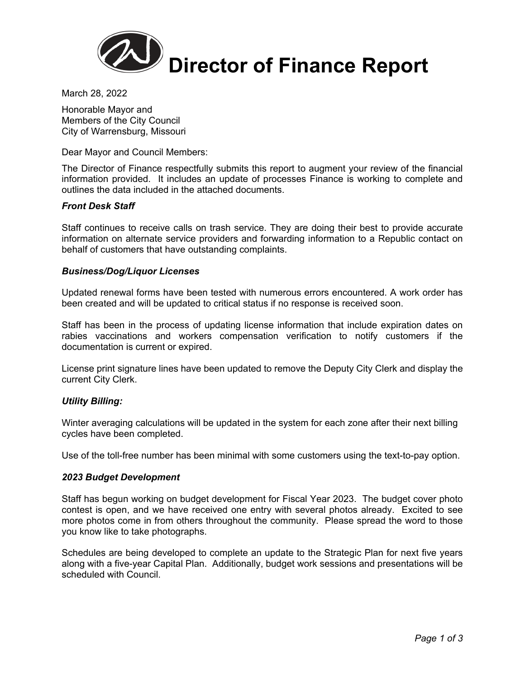

March 28, 2022

Honorable Mayor and Members of the City Council City of Warrensburg, Missouri

Dear Mayor and Council Members:

The Director of Finance respectfully submits this report to augment your review of the financial information provided. It includes an update of processes Finance is working to complete and outlines the data included in the attached documents.

# *Front Desk Staff*

Staff continues to receive calls on trash service. They are doing their best to provide accurate information on alternate service providers and forwarding information to a Republic contact on behalf of customers that have outstanding complaints.

# *Business/Dog/Liquor Licenses*

Updated renewal forms have been tested with numerous errors encountered. A work order has been created and will be updated to critical status if no response is received soon.

Staff has been in the process of updating license information that include expiration dates on rabies vaccinations and workers compensation verification to notify customers if the documentation is current or expired.

License print signature lines have been updated to remove the Deputy City Clerk and display the current City Clerk.

# *Utility Billing:*

Winter averaging calculations will be updated in the system for each zone after their next billing cycles have been completed.

Use of the toll-free number has been minimal with some customers using the text-to-pay option.

# *2023 Budget Development*

Staff has begun working on budget development for Fiscal Year 2023. The budget cover photo contest is open, and we have received one entry with several photos already. Excited to see more photos come in from others throughout the community. Please spread the word to those you know like to take photographs.

Schedules are being developed to complete an update to the Strategic Plan for next five years along with a five-year Capital Plan. Additionally, budget work sessions and presentations will be scheduled with Council.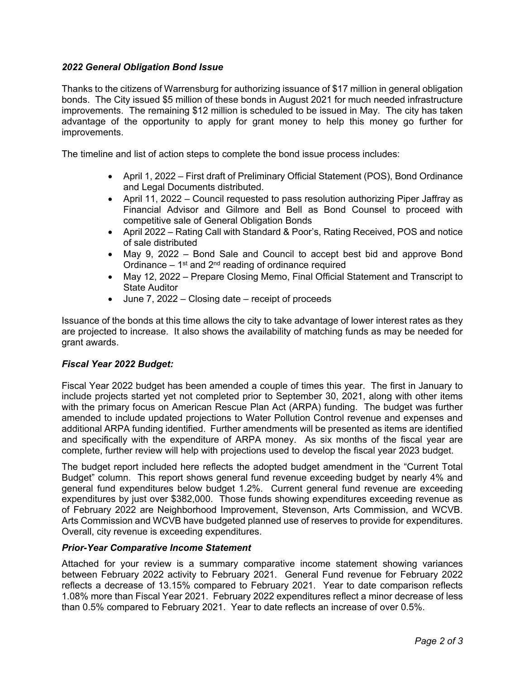# *2022 General Obligation Bond Issue*

Thanks to the citizens of Warrensburg for authorizing issuance of \$17 million in general obligation bonds. The City issued \$5 million of these bonds in August 2021 for much needed infrastructure improvements. The remaining \$12 million is scheduled to be issued in May. The city has taken advantage of the opportunity to apply for grant money to help this money go further for improvements.

The timeline and list of action steps to complete the bond issue process includes:

- April 1, 2022 First draft of Preliminary Official Statement (POS), Bond Ordinance and Legal Documents distributed.
- April 11, 2022 Council requested to pass resolution authorizing Piper Jaffray as Financial Advisor and Gilmore and Bell as Bond Counsel to proceed with competitive sale of General Obligation Bonds
- April 2022 Rating Call with Standard & Poor's, Rating Received, POS and notice of sale distributed
- May 9, 2022 Bond Sale and Council to accept best bid and approve Bond Ordinance  $-1$ <sup>st</sup> and  $2<sup>nd</sup>$  reading of ordinance required
- May 12, 2022 Prepare Closing Memo, Final Official Statement and Transcript to State Auditor
- June 7, 2022 Closing date receipt of proceeds

Issuance of the bonds at this time allows the city to take advantage of lower interest rates as they are projected to increase. It also shows the availability of matching funds as may be needed for grant awards.

# *Fiscal Year 2022 Budget:*

Fiscal Year 2022 budget has been amended a couple of times this year. The first in January to include projects started yet not completed prior to September 30, 2021, along with other items with the primary focus on American Rescue Plan Act (ARPA) funding. The budget was further amended to include updated projections to Water Pollution Control revenue and expenses and additional ARPA funding identified. Further amendments will be presented as items are identified and specifically with the expenditure of ARPA money. As six months of the fiscal year are complete, further review will help with projections used to develop the fiscal year 2023 budget.

The budget report included here reflects the adopted budget amendment in the "Current Total Budget" column. This report shows general fund revenue exceeding budget by nearly 4% and general fund expenditures below budget 1.2%. Current general fund revenue are exceeding expenditures by just over \$382,000. Those funds showing expenditures exceeding revenue as of February 2022 are Neighborhood Improvement, Stevenson, Arts Commission, and WCVB. Arts Commission and WCVB have budgeted planned use of reserves to provide for expenditures. Overall, city revenue is exceeding expenditures.

# *Prior-Year Comparative Income Statement*

Attached for your review is a summary comparative income statement showing variances between February 2022 activity to February 2021. General Fund revenue for February 2022 reflects a decrease of 13.15% compared to February 2021. Year to date comparison reflects 1.08% more than Fiscal Year 2021. February 2022 expenditures reflect a minor decrease of less than 0.5% compared to February 2021. Year to date reflects an increase of over 0.5%.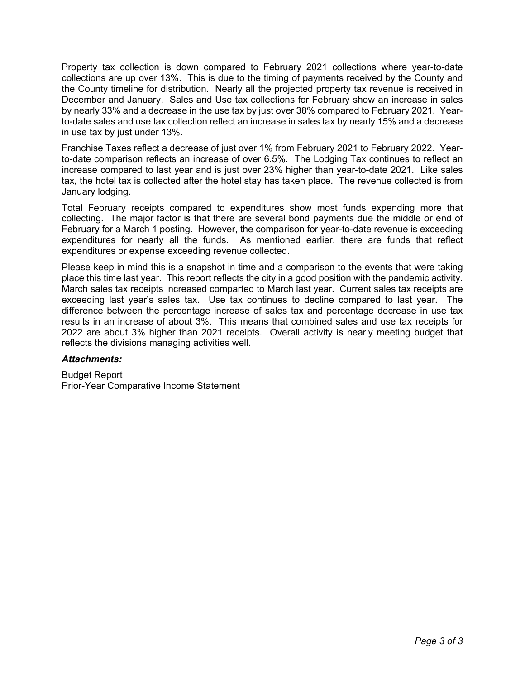Property tax collection is down compared to February 2021 collections where year-to-date collections are up over 13%. This is due to the timing of payments received by the County and the County timeline for distribution. Nearly all the projected property tax revenue is received in December and January. Sales and Use tax collections for February show an increase in sales by nearly 33% and a decrease in the use tax by just over 38% compared to February 2021. Yearto-date sales and use tax collection reflect an increase in sales tax by nearly 15% and a decrease in use tax by just under 13%.

Franchise Taxes reflect a decrease of just over 1% from February 2021 to February 2022. Yearto-date comparison reflects an increase of over 6.5%. The Lodging Tax continues to reflect an increase compared to last year and is just over 23% higher than year-to-date 2021. Like sales tax, the hotel tax is collected after the hotel stay has taken place. The revenue collected is from January lodging.

Total February receipts compared to expenditures show most funds expending more that collecting. The major factor is that there are several bond payments due the middle or end of February for a March 1 posting. However, the comparison for year-to-date revenue is exceeding expenditures for nearly all the funds. As mentioned earlier, there are funds that reflect expenditures or expense exceeding revenue collected.

Please keep in mind this is a snapshot in time and a comparison to the events that were taking place this time last year. This report reflects the city in a good position with the pandemic activity. March sales tax receipts increased comparted to March last year. Current sales tax receipts are exceeding last year's sales tax. Use tax continues to decline compared to last year. The difference between the percentage increase of sales tax and percentage decrease in use tax results in an increase of about 3%. This means that combined sales and use tax receipts for 2022 are about 3% higher than 2021 receipts. Overall activity is nearly meeting budget that reflects the divisions managing activities well.

# *Attachments:*

Budget Report Prior-Year Comparative Income Statement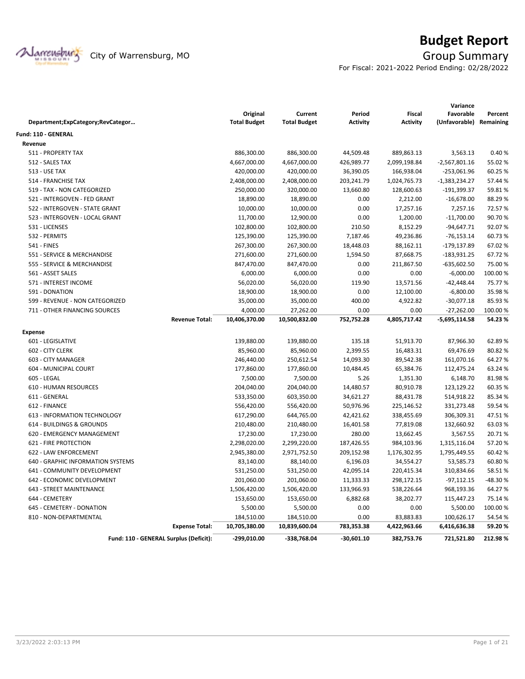

# **Budget Report**

For Fiscal: 2021-2022 Period Ending: 02/28/2022

|                                   |                                        | Original            | Current             | Period          | <b>Fiscal</b>   | Variance<br>Favorable   | Percent |
|-----------------------------------|----------------------------------------|---------------------|---------------------|-----------------|-----------------|-------------------------|---------|
| Department;ExpCategory;RevCategor |                                        | <b>Total Budget</b> | <b>Total Budget</b> | <b>Activity</b> | <b>Activity</b> | (Unfavorable) Remaining |         |
| Fund: 110 - GENERAL               |                                        |                     |                     |                 |                 |                         |         |
| Revenue                           |                                        |                     |                     |                 |                 |                         |         |
| 511 - PROPERTY TAX                |                                        | 886,300.00          | 886,300.00          | 44,509.48       | 889,863.13      | 3,563.13                | 0.40%   |
| 512 - SALES TAX                   |                                        | 4,667,000.00        | 4,667,000.00        | 426,989.77      | 2,099,198.84    | $-2,567,801.16$         | 55.02 % |
| <b>513 - USE TAX</b>              |                                        | 420,000.00          | 420,000.00          | 36,390.05       | 166,938.04      | $-253,061.96$           | 60.25 % |
| 514 - FRANCHISE TAX               |                                        | 2,408,000.00        | 2,408,000.00        | 203,241.79      | 1,024,765.73    | $-1,383,234.27$         | 57.44 % |
| 519 - TAX - NON CATEGORIZED       |                                        | 250,000.00          | 320,000.00          | 13,660.80       | 128,600.63      | $-191,399.37$           | 59.81%  |
| 521 - INTERGOVEN - FED GRANT      |                                        | 18,890.00           | 18,890.00           | 0.00            | 2,212.00        | $-16,678.00$            | 88.29%  |
| 522 - INTERGOVEN - STATE GRANT    |                                        | 10,000.00           | 10,000.00           | 0.00            | 17,257.16       | 7,257.16                | 72.57%  |
| 523 - INTERGOVEN - LOCAL GRANT    |                                        | 11,700.00           | 12,900.00           | 0.00            | 1,200.00        | $-11,700.00$            | 90.70%  |
| 531 - LICENSES                    |                                        | 102,800.00          | 102,800.00          | 210.50          | 8,152.29        | $-94,647.71$            | 92.07%  |
| 532 - PERMITS                     |                                        | 125,390.00          | 125,390.00          | 7,187.46        | 49,236.86       | $-76, 153.14$           | 60.73%  |
| <b>541 - FINES</b>                |                                        | 267,300.00          | 267,300.00          | 18,448.03       | 88,162.11       | $-179, 137.89$          | 67.02%  |
| 551 - SERVICE & MERCHANDISE       |                                        | 271,600.00          | 271,600.00          | 1,594.50        | 87,668.75       | $-183,931.25$           | 67.72%  |
| 555 - SERVICE & MERCHANDISE       |                                        | 847,470.00          | 847,470.00          | 0.00            | 211,867.50      | $-635,602.50$           | 75.00 % |
| 561 - ASSET SALES                 |                                        | 6,000.00            | 6,000.00            | 0.00            | 0.00            | $-6,000.00$             | 100.00% |
| 571 - INTEREST INCOME             |                                        | 56,020.00           | 56,020.00           | 119.90          | 13,571.56       | $-42,448.44$            | 75.77%  |
| 591 - DONATION                    |                                        | 18,900.00           | 18,900.00           | 0.00            | 12,100.00       | $-6,800.00$             | 35.98%  |
| 599 - REVENUE - NON CATEGORIZED   |                                        | 35,000.00           | 35,000.00           | 400.00          | 4,922.82        | $-30,077.18$            | 85.93%  |
| 711 - OTHER FINANCING SOURCES     |                                        | 4,000.00            | 27,262.00           | 0.00            | 0.00            | $-27,262.00$            | 100.00% |
|                                   | <b>Revenue Total:</b>                  | 10,406,370.00       | 10,500,832.00       | 752,752.28      | 4,805,717.42    | -5,695,114.58           | 54.23%  |
| <b>Expense</b>                    |                                        |                     |                     |                 |                 |                         |         |
| 601 - LEGISLATIVE                 |                                        | 139,880.00          | 139,880.00          | 135.18          | 51,913.70       | 87,966.30               | 62.89%  |
| 602 - CITY CLERK                  |                                        | 85,960.00           | 85,960.00           | 2,399.55        | 16,483.31       | 69,476.69               | 80.82%  |
| 603 - CITY MANAGER                |                                        | 246,440.00          | 250,612.54          | 14,093.30       | 89,542.38       | 161,070.16              | 64.27%  |
| 604 - MUNICIPAL COURT             |                                        | 177,860.00          | 177,860.00          | 10,484.45       | 65,384.76       | 112,475.24              | 63.24 % |
| 605 - LEGAL                       |                                        | 7,500.00            | 7,500.00            | 5.26            | 1,351.30        | 6,148.70                | 81.98%  |
| <b>610 - HUMAN RESOURCES</b>      |                                        | 204,040.00          | 204,040.00          | 14,480.57       | 80,910.78       | 123,129.22              | 60.35%  |
| 611 - GENERAL                     |                                        | 533,350.00          | 603,350.00          | 34,621.27       | 88,431.78       | 514,918.22              | 85.34%  |
| 612 - FINANCE                     |                                        | 556,420.00          | 556,420.00          | 50,976.96       | 225,146.52      | 331,273.48              | 59.54 % |
| 613 - INFORMATION TECHNOLOGY      |                                        | 617,290.00          | 644,765.00          | 42,421.62       | 338,455.69      | 306,309.31              | 47.51%  |
| 614 - BUILDINGS & GROUNDS         |                                        | 210,480.00          | 210,480.00          | 16,401.58       | 77,819.08       | 132,660.92              | 63.03%  |
| 620 - EMERGENCY MANAGEMENT        |                                        | 17,230.00           | 17,230.00           | 280.00          | 13,662.45       | 3,567.55                | 20.71%  |
| 621 - FIRE PROTECTION             |                                        | 2,298,020.00        | 2,299,220.00        | 187,426.55      | 984,103.96      | 1,315,116.04            | 57.20%  |
| 622 - LAW ENFORCEMENT             |                                        | 2,945,380.00        | 2,971,752.50        | 209,152.98      | 1,176,302.95    | 1,795,449.55            | 60.42%  |
| 640 - GRAPHIC INFORMATION SYSTEMS |                                        | 83,140.00           | 88,140.00           | 6,196.03        | 34,554.27       | 53,585.73               | 60.80%  |
| 641 - COMMUNITY DEVELOPMENT       |                                        | 531,250.00          | 531,250.00          | 42,095.14       | 220,415.34      | 310,834.66              | 58.51%  |
| 642 - ECONOMIC DEVELOPMENT        |                                        | 201,060.00          | 201,060.00          | 11,333.33       | 298,172.15      | $-97,112.15$            | -48.30% |
| 643 - STREET MAINTENANCE          |                                        | 1,506,420.00        | 1,506,420.00        | 133,966.93      | 538,226.64      | 968,193.36              | 64.27%  |
| 644 - CEMETERY                    |                                        | 153,650.00          | 153,650.00          | 6,882.68        | 38,202.77       | 115,447.23              | 75.14 % |
| 645 - CEMETERY - DONATION         |                                        | 5,500.00            | 5,500.00            | 0.00            | 0.00            | 5,500.00                | 100.00% |
| 810 - NON-DEPARTMENTAL            |                                        | 184,510.00          | 184,510.00          | 0.00            | 83,883.83       | 100,626.17              | 54.54 % |
|                                   | <b>Expense Total:</b>                  | 10,705,380.00       | 10,839,600.04       | 783,353.38      | 4,422,963.66    | 6,416,636.38            | 59.20%  |
|                                   | Fund: 110 - GENERAL Surplus (Deficit): | $-299,010.00$       | -338,768.04         | $-30,601.10$    | 382,753.76      | 721,521.80              | 212.98% |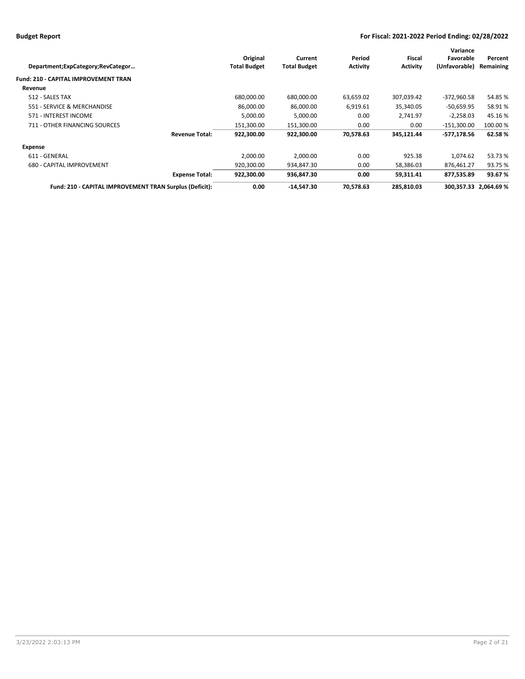| Department;ExpCategory;RevCategor                       | Original<br><b>Total Budget</b>     | Current<br><b>Total Budget</b> | Period<br><b>Activity</b> | Fiscal<br><b>Activity</b> | Variance<br>Favorable<br>(Unfavorable) | Percent<br>Remaining  |
|---------------------------------------------------------|-------------------------------------|--------------------------------|---------------------------|---------------------------|----------------------------------------|-----------------------|
| <b>Fund: 210 - CAPITAL IMPROVEMENT TRAN</b>             |                                     |                                |                           |                           |                                        |                       |
| Revenue                                                 |                                     |                                |                           |                           |                                        |                       |
| 512 - SALES TAX                                         | 680,000.00                          | 680,000.00                     | 63,659.02                 | 307,039.42                | $-372,960.58$                          | 54.85%                |
| 551 - SERVICE & MERCHANDISE                             | 86,000.00                           | 86,000.00                      | 6,919.61                  | 35,340.05                 | $-50,659.95$                           | 58.91%                |
| 571 - INTEREST INCOME                                   | 5,000.00                            | 5,000.00                       | 0.00                      | 2,741.97                  | $-2,258.03$                            | 45.16%                |
| 711 - OTHER FINANCING SOURCES                           | 151,300.00                          | 151,300.00                     | 0.00                      | 0.00                      | -151,300.00                            | 100.00 %              |
|                                                         | 922.300.00<br><b>Revenue Total:</b> | 922.300.00                     | 70,578.63                 | 345,121.44                | -577,178.56                            | 62.58%                |
| Expense                                                 |                                     |                                |                           |                           |                                        |                       |
| 611 - GENERAL                                           | 2,000.00                            | 2,000.00                       | 0.00                      | 925.38                    | 1,074.62                               | 53.73 %               |
| 680 - CAPITAL IMPROVEMENT                               | 920,300.00                          | 934,847.30                     | 0.00                      | 58,386.03                 | 876,461.27                             | 93.75 %               |
|                                                         | 922,300.00<br><b>Expense Total:</b> | 936,847.30                     | 0.00                      | 59,311.41                 | 877,535.89                             | 93.67%                |
| Fund: 210 - CAPITAL IMPROVEMENT TRAN Surplus (Deficit): | 0.00                                | $-14,547.30$                   | 70,578.63                 | 285,810.03                |                                        | 300,357.33 2,064.69 % |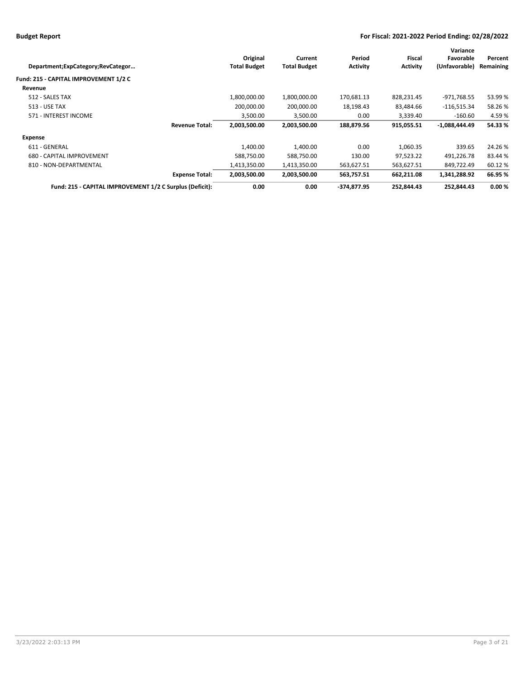|                                                          |                     |                     |                 |                 | Variance        |           |
|----------------------------------------------------------|---------------------|---------------------|-----------------|-----------------|-----------------|-----------|
|                                                          | Original            | Current             | Period          | Fiscal          | Favorable       | Percent   |
| Department;ExpCategory;RevCategor                        | <b>Total Budget</b> | <b>Total Budget</b> | <b>Activity</b> | <b>Activity</b> | (Unfavorable)   | Remaining |
| Fund: 215 - CAPITAL IMPROVEMENT 1/2 C                    |                     |                     |                 |                 |                 |           |
| Revenue                                                  |                     |                     |                 |                 |                 |           |
| 512 - SALES TAX                                          | 1,800,000.00        | 1,800,000.00        | 170,681.13      | 828,231.45      | -971,768.55     | 53.99%    |
| 513 - USE TAX                                            | 200,000.00          | 200,000.00          | 18,198.43       | 83,484.66       | $-116,515.34$   | 58.26%    |
| 571 - INTEREST INCOME                                    | 3,500.00            | 3,500.00            | 0.00            | 3,339.40        | $-160.60$       | 4.59%     |
| <b>Revenue Total:</b>                                    | 2,003,500.00        | 2,003,500.00        | 188,879.56      | 915,055.51      | $-1,088,444.49$ | 54.33%    |
| Expense                                                  |                     |                     |                 |                 |                 |           |
| 611 - GENERAL                                            | 1,400.00            | 1,400.00            | 0.00            | 1,060.35        | 339.65          | 24.26%    |
| 680 - CAPITAL IMPROVEMENT                                | 588,750.00          | 588,750.00          | 130.00          | 97,523.22       | 491,226.78      | 83.44 %   |
| 810 - NON-DEPARTMENTAL                                   | 1,413,350.00        | 1,413,350.00        | 563,627.51      | 563,627.51      | 849,722.49      | 60.12%    |
| <b>Expense Total:</b>                                    | 2,003,500.00        | 2,003,500.00        | 563,757.51      | 662,211.08      | 1,341,288.92    | 66.95 %   |
| Fund: 215 - CAPITAL IMPROVEMENT 1/2 C Surplus (Deficit): | 0.00                | 0.00                | $-374,877.95$   | 252,844.43      | 252.844.43      | 0.00%     |
|                                                          |                     |                     |                 |                 |                 |           |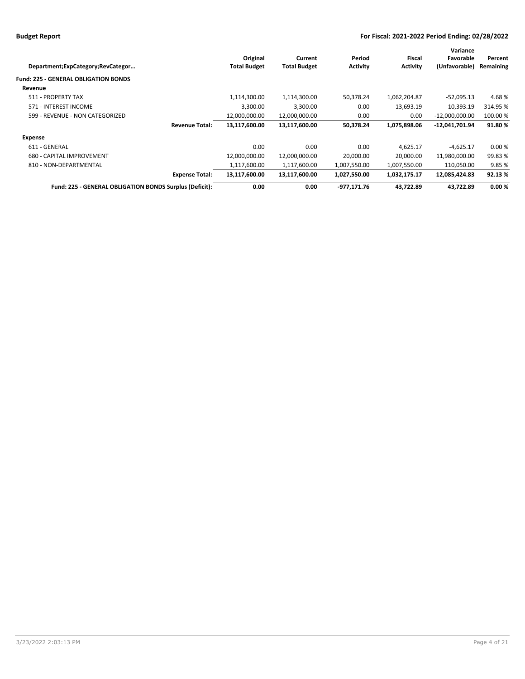| Department;ExpCategory;RevCategor                       |                       | Original<br><b>Total Budget</b> | Current<br><b>Total Budget</b> | Period<br><b>Activity</b> | Fiscal<br><b>Activity</b> | Variance<br>Favorable<br>(Unfavorable) | Percent<br>Remaining |
|---------------------------------------------------------|-----------------------|---------------------------------|--------------------------------|---------------------------|---------------------------|----------------------------------------|----------------------|
| <b>Fund: 225 - GENERAL OBLIGATION BONDS</b>             |                       |                                 |                                |                           |                           |                                        |                      |
| Revenue                                                 |                       |                                 |                                |                           |                           |                                        |                      |
| 511 - PROPERTY TAX                                      |                       | 1,114,300.00                    | 1,114,300.00                   | 50,378.24                 | 1,062,204.87              | $-52,095.13$                           | 4.68%                |
| 571 - INTEREST INCOME                                   |                       | 3,300.00                        | 3,300.00                       | 0.00                      | 13,693.19                 | 10,393.19                              | 314.95 %             |
| 599 - REVENUE - NON CATEGORIZED                         |                       | 12,000,000.00                   | 12,000,000.00                  | 0.00                      | 0.00                      | $-12,000,000.00$                       | 100.00%              |
|                                                         | <b>Revenue Total:</b> | 13,117,600.00                   | 13,117,600.00                  | 50,378.24                 | 1,075,898.06              | -12,041,701.94                         | 91.80%               |
| Expense                                                 |                       |                                 |                                |                           |                           |                                        |                      |
| 611 - GENERAL                                           |                       | 0.00                            | 0.00                           | 0.00                      | 4,625.17                  | $-4,625.17$                            | 0.00%                |
| 680 - CAPITAL IMPROVEMENT                               |                       | 12,000,000.00                   | 12,000,000.00                  | 20,000.00                 | 20,000.00                 | 11,980,000.00                          | 99.83 %              |
| 810 - NON-DEPARTMENTAL                                  |                       | 1,117,600.00                    | 1,117,600.00                   | 1,007,550.00              | 1,007,550.00              | 110,050.00                             | 9.85%                |
|                                                         | <b>Expense Total:</b> | 13,117,600.00                   | 13,117,600.00                  | 1,027,550.00              | 1,032,175.17              | 12,085,424.83                          | 92.13%               |
| Fund: 225 - GENERAL OBLIGATION BONDS Surplus (Deficit): |                       | 0.00                            | 0.00                           | -977,171.76               | 43.722.89                 | 43.722.89                              | 0.00%                |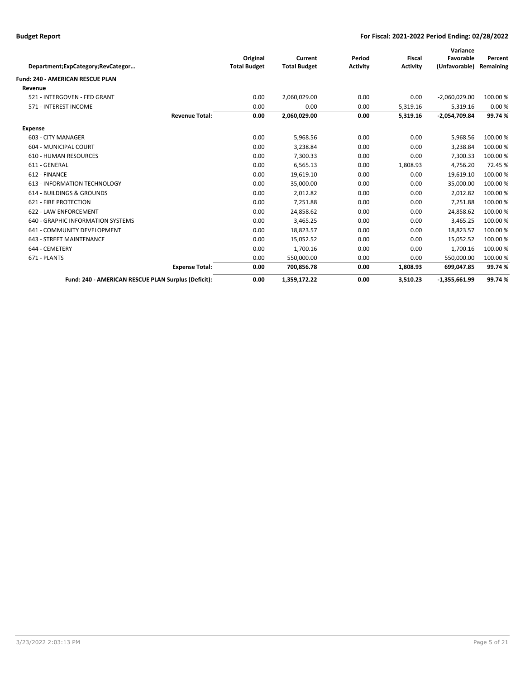|                                                     |                       |                     |                     |                 |                 | Variance        |           |
|-----------------------------------------------------|-----------------------|---------------------|---------------------|-----------------|-----------------|-----------------|-----------|
|                                                     |                       | Original            | Current             | Period          | <b>Fiscal</b>   | Favorable       | Percent   |
| Department;ExpCategory;RevCategor                   |                       | <b>Total Budget</b> | <b>Total Budget</b> | <b>Activity</b> | <b>Activity</b> | (Unfavorable)   | Remaining |
| Fund: 240 - AMERICAN RESCUE PLAN                    |                       |                     |                     |                 |                 |                 |           |
| Revenue                                             |                       |                     |                     |                 |                 |                 |           |
| 521 - INTERGOVEN - FED GRANT                        |                       | 0.00                | 2,060,029.00        | 0.00            | 0.00            | $-2,060,029.00$ | 100.00 %  |
| 571 - INTEREST INCOME                               |                       | 0.00                | 0.00                | 0.00            | 5,319.16        | 5,319.16        | 0.00%     |
|                                                     | <b>Revenue Total:</b> | 0.00                | 2,060,029.00        | 0.00            | 5,319.16        | $-2,054,709.84$ | 99.74%    |
| Expense                                             |                       |                     |                     |                 |                 |                 |           |
| 603 - CITY MANAGER                                  |                       | 0.00                | 5,968.56            | 0.00            | 0.00            | 5,968.56        | 100.00 %  |
| 604 - MUNICIPAL COURT                               |                       | 0.00                | 3,238.84            | 0.00            | 0.00            | 3,238.84        | 100.00%   |
| <b>610 - HUMAN RESOURCES</b>                        |                       | 0.00                | 7,300.33            | 0.00            | 0.00            | 7,300.33        | 100.00 %  |
| 611 - GENERAL                                       |                       | 0.00                | 6,565.13            | 0.00            | 1,808.93        | 4,756.20        | 72.45%    |
| 612 - FINANCE                                       |                       | 0.00                | 19,619.10           | 0.00            | 0.00            | 19,619.10       | 100.00%   |
| 613 - INFORMATION TECHNOLOGY                        |                       | 0.00                | 35,000.00           | 0.00            | 0.00            | 35,000.00       | 100.00 %  |
| 614 - BUILDINGS & GROUNDS                           |                       | 0.00                | 2,012.82            | 0.00            | 0.00            | 2,012.82        | 100.00 %  |
| 621 - FIRE PROTECTION                               |                       | 0.00                | 7,251.88            | 0.00            | 0.00            | 7,251.88        | 100.00 %  |
| 622 - LAW ENFORCEMENT                               |                       | 0.00                | 24,858.62           | 0.00            | 0.00            | 24.858.62       | 100.00 %  |
| 640 - GRAPHIC INFORMATION SYSTEMS                   |                       | 0.00                | 3,465.25            | 0.00            | 0.00            | 3,465.25        | 100.00 %  |
| 641 - COMMUNITY DEVELOPMENT                         |                       | 0.00                | 18,823.57           | 0.00            | 0.00            | 18,823.57       | 100.00 %  |
| 643 - STREET MAINTENANCE                            |                       | 0.00                | 15,052.52           | 0.00            | 0.00            | 15.052.52       | 100.00 %  |
| 644 - CEMETERY                                      |                       | 0.00                | 1,700.16            | 0.00            | 0.00            | 1,700.16        | 100.00 %  |
| 671 - PLANTS                                        |                       | 0.00                | 550,000.00          | 0.00            | 0.00            | 550,000.00      | 100.00%   |
|                                                     | <b>Expense Total:</b> | 0.00                | 700,856.78          | 0.00            | 1,808.93        | 699,047.85      | 99.74%    |
| Fund: 240 - AMERICAN RESCUE PLAN Surplus (Deficit): |                       | 0.00                | 1,359,172.22        | 0.00            | 3,510.23        | $-1,355,661.99$ | 99.74%    |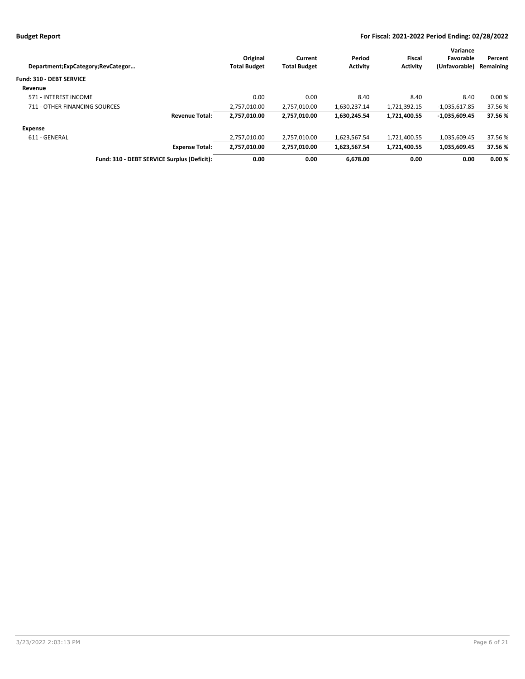|                                     |                                             |                     |                     |                 |                 | Variance        |           |
|-------------------------------------|---------------------------------------------|---------------------|---------------------|-----------------|-----------------|-----------------|-----------|
|                                     |                                             | Original            | Current             | Period          | <b>Fiscal</b>   | Favorable       | Percent   |
| Department; ExpCategory; RevCategor |                                             | <b>Total Budget</b> | <b>Total Budget</b> | <b>Activity</b> | <b>Activity</b> | (Unfavorable)   | Remaining |
| Fund: 310 - DEBT SERVICE            |                                             |                     |                     |                 |                 |                 |           |
| Revenue                             |                                             |                     |                     |                 |                 |                 |           |
| 571 - INTEREST INCOME               |                                             | 0.00                | 0.00                | 8.40            | 8.40            | 8.40            | 0.00%     |
| 711 - OTHER FINANCING SOURCES       |                                             | 2,757,010.00        | 2,757,010.00        | 1,630,237.14    | 1,721,392.15    | $-1,035,617.85$ | 37.56 %   |
|                                     | <b>Revenue Total:</b>                       | 2,757,010.00        | 2,757,010.00        | 1,630,245.54    | 1,721,400.55    | $-1,035,609.45$ | 37.56 %   |
| Expense                             |                                             |                     |                     |                 |                 |                 |           |
| 611 - GENERAL                       |                                             | 2.757.010.00        | 2.757.010.00        | 1.623.567.54    | 1.721.400.55    | 1.035.609.45    | 37.56 %   |
|                                     | <b>Expense Total:</b>                       | 2,757,010.00        | 2,757,010.00        | 1,623,567.54    | 1,721,400.55    | 1,035,609.45    | 37.56 %   |
|                                     | Fund: 310 - DEBT SERVICE Surplus (Deficit): | 0.00                | 0.00                | 6.678.00        | 0.00            | 0.00            | 0.00%     |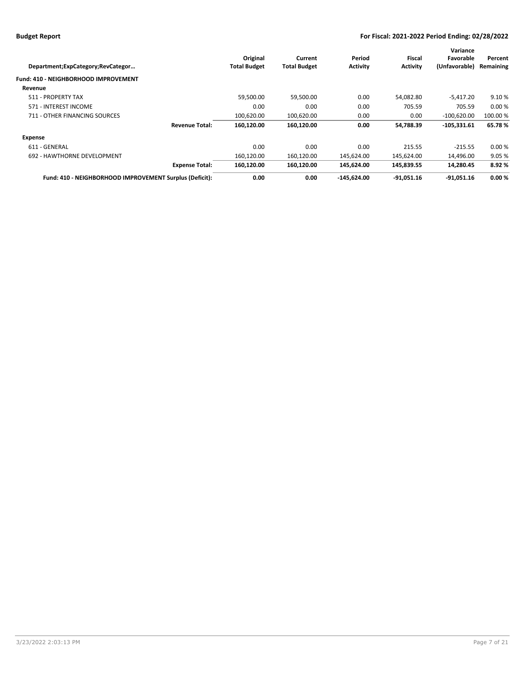| Department;ExpCategory;RevCategor                       | Original<br><b>Total Budget</b> | Current<br><b>Total Budget</b> | Period<br><b>Activity</b> | Fiscal<br><b>Activity</b> | Variance<br>Favorable<br>(Unfavorable) | Percent<br>Remaining |
|---------------------------------------------------------|---------------------------------|--------------------------------|---------------------------|---------------------------|----------------------------------------|----------------------|
| Fund: 410 - NEIGHBORHOOD IMPROVEMENT                    |                                 |                                |                           |                           |                                        |                      |
| Revenue                                                 |                                 |                                |                           |                           |                                        |                      |
| 511 - PROPERTY TAX                                      | 59,500.00                       | 59,500.00                      | 0.00                      | 54,082.80                 | $-5,417.20$                            | 9.10%                |
| 571 - INTEREST INCOME                                   | 0.00                            | 0.00                           | 0.00                      | 705.59                    | 705.59                                 | 0.00%                |
| 711 - OTHER FINANCING SOURCES                           | 100,620.00                      | 100,620.00                     | 0.00                      | 0.00                      | $-100.620.00$                          | 100.00 %             |
| <b>Revenue Total:</b>                                   | 160.120.00                      | 160.120.00                     | 0.00                      | 54,788.39                 | $-105.331.61$                          | 65.78%               |
| <b>Expense</b>                                          |                                 |                                |                           |                           |                                        |                      |
| 611 - GENERAL                                           | 0.00                            | 0.00                           | 0.00                      | 215.55                    | $-215.55$                              | 0.00%                |
| 692 - HAWTHORNE DEVELOPMENT                             | 160,120.00                      | 160,120.00                     | 145,624.00                | 145,624.00                | 14,496.00                              | 9.05%                |
| <b>Expense Total:</b>                                   | 160,120.00                      | 160,120.00                     | 145,624.00                | 145,839.55                | 14,280.45                              | 8.92%                |
| Fund: 410 - NEIGHBORHOOD IMPROVEMENT Surplus (Deficit): | 0.00                            | 0.00                           | $-145.624.00$             | $-91.051.16$              | $-91.051.16$                           | 0.00%                |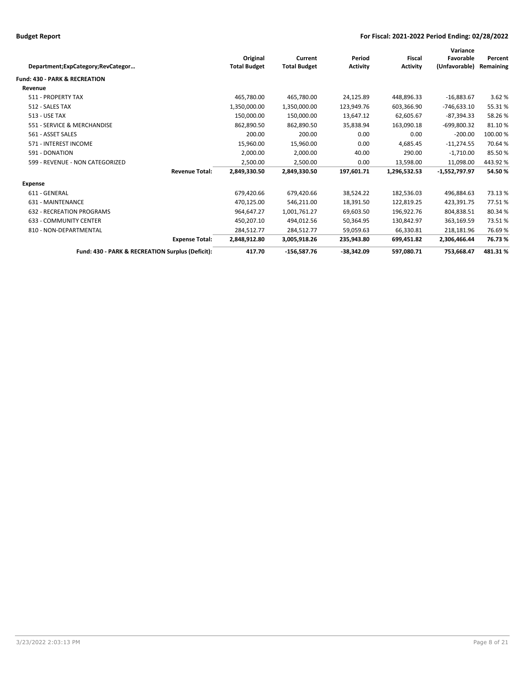| Department;ExpCategory;RevCategor                | Original<br><b>Total Budget</b> | Current<br><b>Total Budget</b> | Period<br><b>Activity</b> | <b>Fiscal</b><br><b>Activity</b> | Variance<br>Favorable<br>(Unfavorable) | Percent<br>Remaining |
|--------------------------------------------------|---------------------------------|--------------------------------|---------------------------|----------------------------------|----------------------------------------|----------------------|
| <b>Fund: 430 - PARK &amp; RECREATION</b>         |                                 |                                |                           |                                  |                                        |                      |
| Revenue                                          |                                 |                                |                           |                                  |                                        |                      |
| 511 - PROPERTY TAX                               | 465,780.00                      | 465,780.00                     | 24,125.89                 | 448,896.33                       | $-16,883.67$                           | 3.62 %               |
| 512 - SALES TAX                                  | 1,350,000.00                    | 1,350,000.00                   | 123,949.76                | 603,366.90                       | $-746,633.10$                          | 55.31%               |
| <b>513 - USE TAX</b>                             | 150,000.00                      | 150,000.00                     | 13,647.12                 | 62,605.67                        | $-87,394.33$                           | 58.26%               |
| 551 - SERVICE & MERCHANDISE                      | 862,890.50                      | 862,890.50                     | 35,838.94                 | 163,090.18                       | $-699,800.32$                          | 81.10%               |
| 561 - ASSET SALES                                | 200.00                          | 200.00                         | 0.00                      | 0.00                             | $-200.00$                              | 100.00 %             |
| 571 - INTEREST INCOME                            | 15,960.00                       | 15,960.00                      | 0.00                      | 4,685.45                         | $-11,274.55$                           | 70.64%               |
| 591 - DONATION                                   | 2,000.00                        | 2,000.00                       | 40.00                     | 290.00                           | $-1,710.00$                            | 85.50%               |
| 599 - REVENUE - NON CATEGORIZED                  | 2,500.00                        | 2,500.00                       | 0.00                      | 13,598.00                        | 11,098.00                              | 443.92%              |
| <b>Revenue Total:</b>                            | 2,849,330.50                    | 2,849,330.50                   | 197,601.71                | 1,296,532.53                     | -1,552,797.97                          | 54.50%               |
| <b>Expense</b>                                   |                                 |                                |                           |                                  |                                        |                      |
| 611 - GENERAL                                    | 679,420.66                      | 679,420.66                     | 38,524.22                 | 182,536.03                       | 496,884.63                             | 73.13%               |
| 631 - MAINTENANCE                                | 470,125.00                      | 546,211.00                     | 18,391.50                 | 122,819.25                       | 423,391.75                             | 77.51%               |
| <b>632 - RECREATION PROGRAMS</b>                 | 964,647.27                      | 1,001,761.27                   | 69,603.50                 | 196,922.76                       | 804,838.51                             | 80.34%               |
| <b>633 - COMMUNITY CENTER</b>                    | 450,207.10                      | 494,012.56                     | 50,364.95                 | 130,842.97                       | 363.169.59                             | 73.51%               |
| 810 - NON-DEPARTMENTAL                           | 284,512.77                      | 284,512.77                     | 59,059.63                 | 66,330.81                        | 218,181.96                             | 76.69%               |
| <b>Expense Total:</b>                            | 2,848,912.80                    | 3,005,918.26                   | 235,943.80                | 699,451.82                       | 2,306,466.44                           | 76.73%               |
| Fund: 430 - PARK & RECREATION Surplus (Deficit): | 417.70                          | $-156.587.76$                  | $-38.342.09$              | 597.080.71                       | 753,668.47                             | 481.31%              |
|                                                  |                                 |                                |                           |                                  |                                        |                      |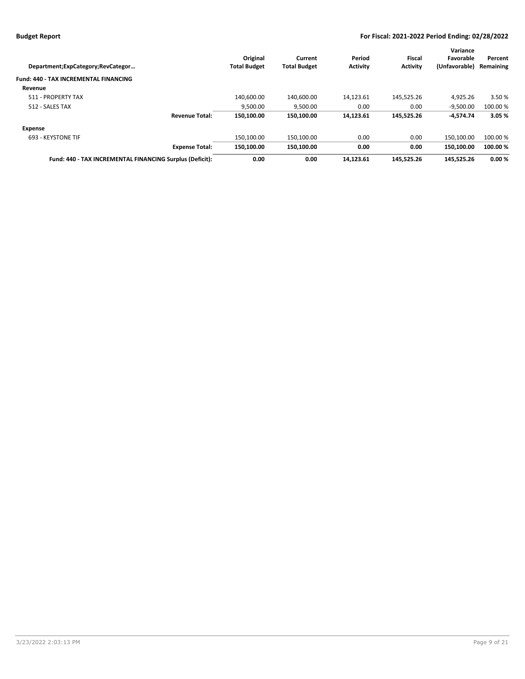| Department; ExpCategory; RevCategor                      | Original<br><b>Total Budget</b> | Current<br><b>Total Budget</b> | Period<br><b>Activity</b> | Fiscal<br><b>Activity</b> | Variance<br>Favorable<br>(Unfavorable) | Percent<br>Remaining |
|----------------------------------------------------------|---------------------------------|--------------------------------|---------------------------|---------------------------|----------------------------------------|----------------------|
| Fund: 440 - TAX INCREMENTAL FINANCING                    |                                 |                                |                           |                           |                                        |                      |
| Revenue                                                  |                                 |                                |                           |                           |                                        |                      |
| 511 - PROPERTY TAX                                       | 140,600.00                      | 140,600.00                     | 14,123.61                 | 145,525.26                | 4,925.26                               | 3.50 %               |
| 512 - SALES TAX                                          | 9,500.00                        | 9,500.00                       | 0.00                      | 0.00                      | $-9,500.00$                            | 100.00 %             |
| <b>Revenue Total:</b>                                    | 150.100.00                      | 150,100.00                     | 14,123.61                 | 145,525.26                | $-4,574.74$                            | 3.05%                |
| <b>Expense</b>                                           |                                 |                                |                           |                           |                                        |                      |
| 693 - KEYSTONE TIF                                       | 150.100.00                      | 150.100.00                     | 0.00                      | 0.00                      | 150.100.00                             | 100.00 %             |
| <b>Expense Total:</b>                                    | 150.100.00                      | 150,100.00                     | 0.00                      | 0.00                      | 150.100.00                             | 100.00 %             |
| Fund: 440 - TAX INCREMENTAL FINANCING Surplus (Deficit): | 0.00                            | 0.00                           | 14.123.61                 | 145.525.26                | 145.525.26                             | 0.00%                |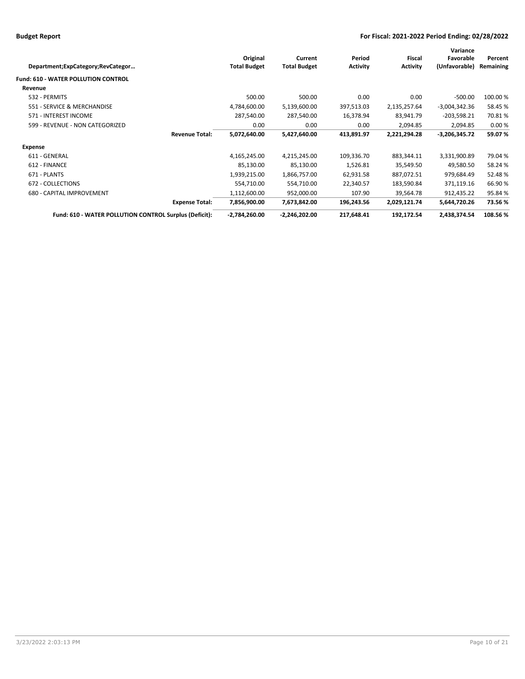| Department;ExpCategory;RevCategor                      |                       | Original<br><b>Total Budget</b> | Current<br><b>Total Budget</b> | Period<br><b>Activity</b> | <b>Fiscal</b><br><b>Activity</b> | Variance<br>Favorable<br>(Unfavorable) | Percent<br>Remaining |
|--------------------------------------------------------|-----------------------|---------------------------------|--------------------------------|---------------------------|----------------------------------|----------------------------------------|----------------------|
| <b>Fund: 610 - WATER POLLUTION CONTROL</b>             |                       |                                 |                                |                           |                                  |                                        |                      |
| Revenue                                                |                       |                                 |                                |                           |                                  |                                        |                      |
| 532 - PERMITS                                          |                       | 500.00                          | 500.00                         | 0.00                      | 0.00                             | $-500.00$                              | 100.00%              |
| 551 - SERVICE & MERCHANDISE                            |                       | 4,784,600.00                    | 5,139,600.00                   | 397,513.03                | 2,135,257.64                     | $-3,004,342.36$                        | 58.45 %              |
| 571 - INTEREST INCOME                                  |                       | 287,540.00                      | 287,540.00                     | 16,378.94                 | 83,941.79                        | $-203,598.21$                          | 70.81%               |
| 599 - REVENUE - NON CATEGORIZED                        |                       | 0.00                            | 0.00                           | 0.00                      | 2,094.85                         | 2,094.85                               | 0.00%                |
|                                                        | <b>Revenue Total:</b> | 5,072,640.00                    | 5,427,640.00                   | 413,891.97                | 2,221,294.28                     | $-3,206,345.72$                        | 59.07%               |
| Expense                                                |                       |                                 |                                |                           |                                  |                                        |                      |
| 611 - GENERAL                                          |                       | 4,165,245.00                    | 4,215,245.00                   | 109,336.70                | 883,344.11                       | 3,331,900.89                           | 79.04%               |
| 612 - FINANCE                                          |                       | 85,130.00                       | 85,130.00                      | 1,526.81                  | 35,549.50                        | 49,580.50                              | 58.24 %              |
| 671 - PLANTS                                           |                       | 1,939,215.00                    | 1,866,757.00                   | 62,931.58                 | 887,072.51                       | 979,684.49                             | 52.48%               |
| 672 - COLLECTIONS                                      |                       | 554,710.00                      | 554,710.00                     | 22,340.57                 | 183,590.84                       | 371,119.16                             | 66.90 %              |
| 680 - CAPITAL IMPROVEMENT                              |                       | 1,112,600.00                    | 952,000.00                     | 107.90                    | 39,564.78                        | 912,435.22                             | 95.84%               |
|                                                        | <b>Expense Total:</b> | 7,856,900.00                    | 7,673,842.00                   | 196,243.56                | 2,029,121.74                     | 5,644,720.26                           | 73.56%               |
| Fund: 610 - WATER POLLUTION CONTROL Surplus (Deficit): |                       | $-2,784,260.00$                 | $-2,246,202.00$                | 217,648.41                | 192,172.54                       | 2,438,374.54                           | 108.56%              |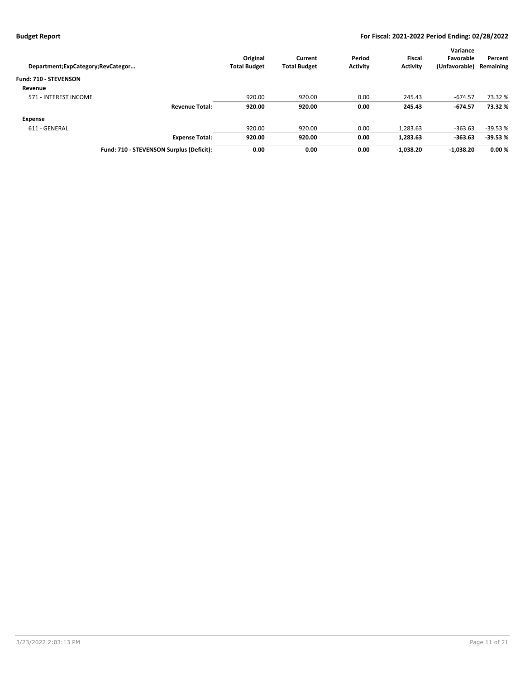| Department; ExpCategory; RevCategor      | Original<br><b>Total Budget</b> | Current<br><b>Total Budget</b> | Period<br><b>Activity</b> | <b>Fiscal</b><br><b>Activity</b> | Variance<br>Favorable<br>(Unfavorable) | Percent<br>Remaining |
|------------------------------------------|---------------------------------|--------------------------------|---------------------------|----------------------------------|----------------------------------------|----------------------|
| Fund: 710 - STEVENSON                    |                                 |                                |                           |                                  |                                        |                      |
| Revenue                                  |                                 |                                |                           |                                  |                                        |                      |
| 571 - INTEREST INCOME                    | 920.00                          | 920.00                         | 0.00                      | 245.43                           | $-674.57$                              | 73.32 %              |
| <b>Revenue Total:</b>                    | 920.00                          | 920.00                         | 0.00                      | 245.43                           | $-674.57$                              | 73.32 %              |
| <b>Expense</b>                           |                                 |                                |                           |                                  |                                        |                      |
| 611 - GENERAL                            | 920.00                          | 920.00                         | 0.00                      | 1,283.63                         | $-363.63$                              | $-39.53%$            |
| <b>Expense Total:</b>                    | 920.00                          | 920.00                         | 0.00                      | 1,283.63                         | $-363.63$                              | $-39.53%$            |
| Fund: 710 - STEVENSON Surplus (Deficit): | 0.00                            | 0.00                           | 0.00                      | $-1.038.20$                      | $-1.038.20$                            | 0.00%                |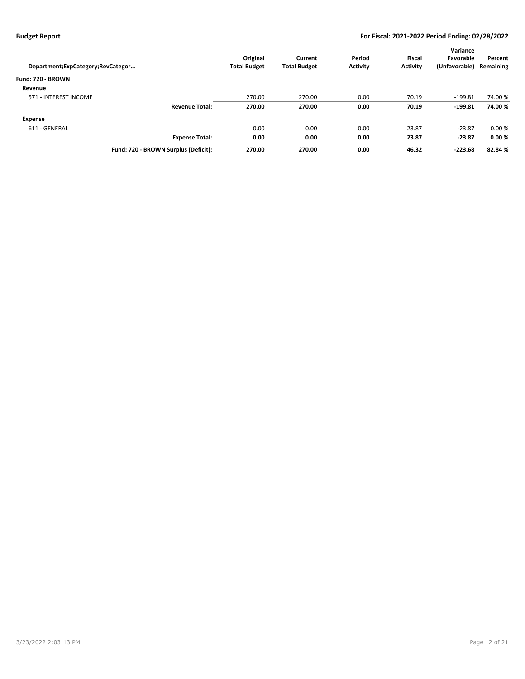| Department; ExpCategory; RevCategor  | Original<br><b>Total Budget</b> | Current<br><b>Total Budget</b> | Period<br><b>Activity</b> | <b>Fiscal</b><br><b>Activity</b> | Variance<br>Favorable<br>(Unfavorable) | Percent<br>Remaining |
|--------------------------------------|---------------------------------|--------------------------------|---------------------------|----------------------------------|----------------------------------------|----------------------|
| Fund: 720 - BROWN                    |                                 |                                |                           |                                  |                                        |                      |
| Revenue                              |                                 |                                |                           |                                  |                                        |                      |
| 571 - INTEREST INCOME                | 270.00                          | 270.00                         | 0.00                      | 70.19                            | $-199.81$                              | 74.00 %              |
| <b>Revenue Total:</b>                | 270.00                          | 270.00                         | 0.00                      | 70.19                            | $-199.81$                              | 74.00%               |
| Expense                              |                                 |                                |                           |                                  |                                        |                      |
| 611 - GENERAL                        | 0.00                            | 0.00                           | 0.00                      | 23.87                            | $-23.87$                               | 0.00%                |
| <b>Expense Total:</b>                | 0.00                            | 0.00                           | 0.00                      | 23.87                            | $-23.87$                               | 0.00%                |
| Fund: 720 - BROWN Surplus (Deficit): | 270.00                          | 270.00                         | 0.00                      | 46.32                            | $-223.68$                              | 82.84 %              |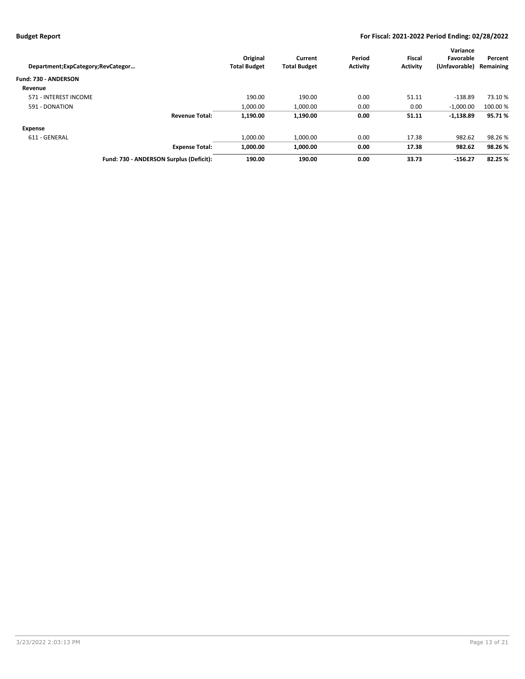|                                   |                                         |                     |                     |                 |                 | Variance      |           |
|-----------------------------------|-----------------------------------------|---------------------|---------------------|-----------------|-----------------|---------------|-----------|
|                                   |                                         | Original            | Current             | Period          | <b>Fiscal</b>   | Favorable     | Percent   |
| Department;ExpCategory;RevCategor |                                         | <b>Total Budget</b> | <b>Total Budget</b> | <b>Activity</b> | <b>Activity</b> | (Unfavorable) | Remaining |
| Fund: 730 - ANDERSON              |                                         |                     |                     |                 |                 |               |           |
| Revenue                           |                                         |                     |                     |                 |                 |               |           |
| 571 - INTEREST INCOME             |                                         | 190.00              | 190.00              | 0.00            | 51.11           | $-138.89$     | 73.10 %   |
| 591 - DONATION                    |                                         | 1.000.00            | 1,000.00            | 0.00            | 0.00            | $-1,000.00$   | 100.00 %  |
|                                   | <b>Revenue Total:</b>                   | 1,190.00            | 1,190.00            | 0.00            | 51.11           | $-1,138.89$   | 95.71%    |
| Expense                           |                                         |                     |                     |                 |                 |               |           |
| 611 - GENERAL                     |                                         | 1.000.00            | 1,000.00            | 0.00            | 17.38           | 982.62        | 98.26%    |
|                                   | <b>Expense Total:</b>                   | 1.000.00            | 1,000.00            | 0.00            | 17.38           | 982.62        | 98.26%    |
|                                   | Fund: 730 - ANDERSON Surplus (Deficit): | 190.00              | 190.00              | 0.00            | 33.73           | $-156.27$     | 82.25 %   |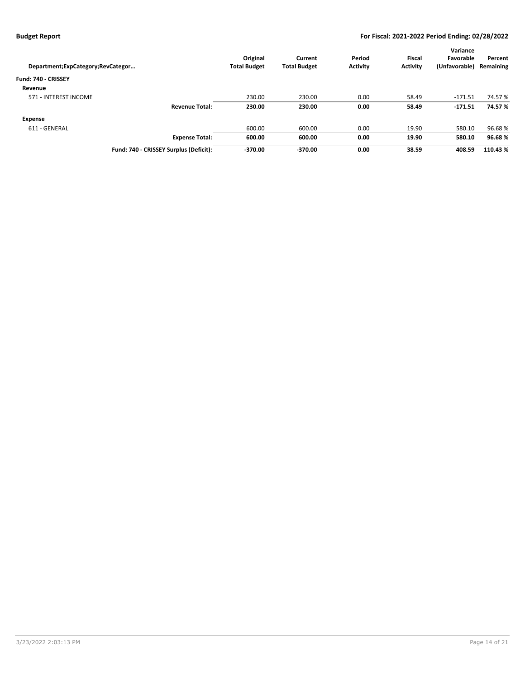| Department; ExpCategory; RevCategor    | Original<br><b>Total Budget</b> | Current<br><b>Total Budget</b> | Period<br><b>Activity</b> | <b>Fiscal</b><br><b>Activity</b> | Variance<br>Favorable<br>(Unfavorable) | Percent<br>Remaining |
|----------------------------------------|---------------------------------|--------------------------------|---------------------------|----------------------------------|----------------------------------------|----------------------|
| Fund: 740 - CRISSEY                    |                                 |                                |                           |                                  |                                        |                      |
| Revenue                                |                                 |                                |                           |                                  |                                        |                      |
| 571 - INTEREST INCOME                  | 230.00                          | 230.00                         | 0.00                      | 58.49                            | $-171.51$                              | 74.57 %              |
| <b>Revenue Total:</b>                  | 230.00                          | 230.00                         | 0.00                      | 58.49                            | $-171.51$                              | 74.57%               |
| Expense                                |                                 |                                |                           |                                  |                                        |                      |
| 611 - GENERAL                          | 600.00                          | 600.00                         | 0.00                      | 19.90                            | 580.10                                 | 96.68%               |
| <b>Expense Total:</b>                  | 600.00                          | 600.00                         | 0.00                      | 19.90                            | 580.10                                 | 96.68%               |
| Fund: 740 - CRISSEY Surplus (Deficit): | $-370.00$                       | $-370.00$                      | 0.00                      | 38.59                            | 408.59                                 | 110.43%              |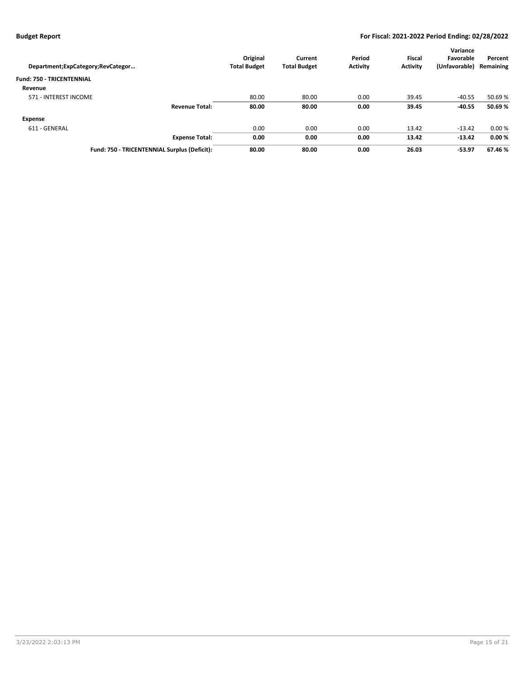| Department; ExpCategory; RevCategor          | Original<br><b>Total Budget</b> | Current<br><b>Total Budget</b> | Period<br><b>Activity</b> | <b>Fiscal</b><br><b>Activity</b> | Variance<br>Favorable<br>(Unfavorable) | Percent<br>Remaining |
|----------------------------------------------|---------------------------------|--------------------------------|---------------------------|----------------------------------|----------------------------------------|----------------------|
| <b>Fund: 750 - TRICENTENNIAL</b>             |                                 |                                |                           |                                  |                                        |                      |
| Revenue                                      |                                 |                                |                           |                                  |                                        |                      |
| 571 - INTEREST INCOME                        | 80.00                           | 80.00                          | 0.00                      | 39.45                            | $-40.55$                               | 50.69%               |
| <b>Revenue Total:</b>                        | 80.00                           | 80.00                          | 0.00                      | 39.45                            | $-40.55$                               | 50.69%               |
| Expense                                      |                                 |                                |                           |                                  |                                        |                      |
| 611 - GENERAL                                | 0.00                            | 0.00                           | 0.00                      | 13.42                            | $-13.42$                               | 0.00%                |
| <b>Expense Total:</b>                        | 0.00                            | 0.00                           | 0.00                      | 13.42                            | $-13.42$                               | 0.00%                |
| Fund: 750 - TRICENTENNIAL Surplus (Deficit): | 80.00                           | 80.00                          | 0.00                      | 26.03                            | $-53.97$                               | 67.46 %              |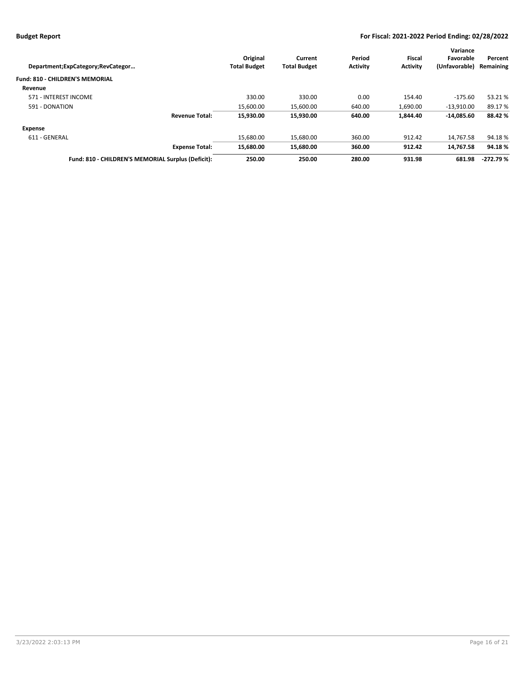|                                                                             |                     |                 |                 | Variance      |            |
|-----------------------------------------------------------------------------|---------------------|-----------------|-----------------|---------------|------------|
| Original                                                                    | Current             | Period          | Fiscal          | Favorable     | Percent    |
| <b>Total Budget</b>                                                         | <b>Total Budget</b> | <b>Activity</b> | <b>Activity</b> | (Unfavorable) | Remaining  |
|                                                                             |                     |                 |                 |               |            |
|                                                                             |                     |                 |                 |               |            |
| 330.00                                                                      | 330.00              | 0.00            | 154.40          | $-175.60$     | 53.21%     |
| 15,600.00                                                                   | 15,600.00           | 640.00          | 1,690.00        | $-13.910.00$  | 89.17%     |
| 15.930.00                                                                   | 15,930.00           | 640.00          | 1.844.40        | $-14.085.60$  | 88.42 %    |
|                                                                             |                     |                 |                 |               |            |
| 15.680.00                                                                   | 15,680.00           | 360.00          | 912.42          | 14.767.58     | 94.18%     |
| 15.680.00                                                                   | 15.680.00           | 360.00          | 912.42          | 14.767.58     | 94.18%     |
| 250.00                                                                      | 250.00              | 280.00          | 931.98          | 681.98        | $-272.79%$ |
| <b>Expense Total:</b><br>Fund: 810 - CHILDREN'S MEMORIAL Surplus (Deficit): |                     |                 |                 |               |            |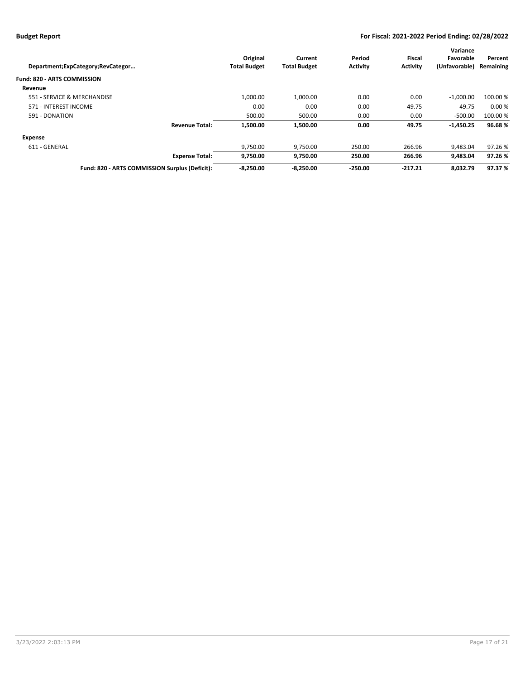|                                                |                     |                     |                 |                 | Variance      |           |
|------------------------------------------------|---------------------|---------------------|-----------------|-----------------|---------------|-----------|
|                                                | Original            | Current             | Period          | Fiscal          | Favorable     | Percent   |
| Department;ExpCategory;RevCategor              | <b>Total Budget</b> | <b>Total Budget</b> | <b>Activity</b> | <b>Activity</b> | (Unfavorable) | Remaining |
| <b>Fund: 820 - ARTS COMMISSION</b>             |                     |                     |                 |                 |               |           |
| Revenue                                        |                     |                     |                 |                 |               |           |
| 551 - SERVICE & MERCHANDISE                    | 1,000.00            | 1.000.00            | 0.00            | 0.00            | $-1,000.00$   | 100.00 %  |
| 571 - INTEREST INCOME                          | 0.00                | 0.00                | 0.00            | 49.75           | 49.75         | 0.00%     |
| 591 - DONATION                                 | 500.00              | 500.00              | 0.00            | 0.00            | $-500.00$     | 100.00 %  |
| <b>Revenue Total:</b>                          | 1.500.00            | 1.500.00            | 0.00            | 49.75           | $-1,450.25$   | 96.68%    |
| Expense                                        |                     |                     |                 |                 |               |           |
| 611 - GENERAL                                  | 9,750.00            | 9,750.00            | 250.00          | 266.96          | 9.483.04      | 97.26%    |
| <b>Expense Total:</b>                          | 9,750.00            | 9,750.00            | 250.00          | 266.96          | 9,483.04      | 97.26 %   |
| Fund: 820 - ARTS COMMISSION Surplus (Deficit): | $-8.250.00$         | $-8.250.00$         | $-250.00$       | $-217.21$       | 8.032.79      | 97.37 %   |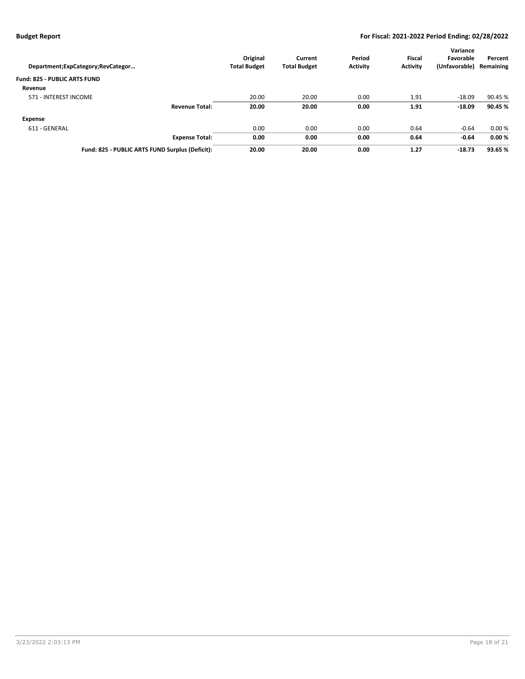| Department; ExpCategory; RevCategor             | Original<br><b>Total Budget</b> | Current<br><b>Total Budget</b> | Period<br><b>Activity</b> | <b>Fiscal</b><br><b>Activity</b> | Variance<br>Favorable<br>(Unfavorable) | Percent<br>Remaining |
|-------------------------------------------------|---------------------------------|--------------------------------|---------------------------|----------------------------------|----------------------------------------|----------------------|
| <b>Fund: 825 - PUBLIC ARTS FUND</b>             |                                 |                                |                           |                                  |                                        |                      |
| Revenue                                         |                                 |                                |                           |                                  |                                        |                      |
| 571 - INTEREST INCOME                           | 20.00                           | 20.00                          | 0.00                      | 1.91                             | $-18.09$                               | 90.45 %              |
| <b>Revenue Total:</b>                           | 20.00                           | 20.00                          | 0.00                      | 1.91                             | $-18.09$                               | 90.45 %              |
| Expense                                         |                                 |                                |                           |                                  |                                        |                      |
| 611 - GENERAL                                   | 0.00                            | 0.00                           | 0.00                      | 0.64                             | $-0.64$                                | 0.00%                |
| <b>Expense Total:</b>                           | 0.00                            | 0.00                           | 0.00                      | 0.64                             | $-0.64$                                | 0.00%                |
| Fund: 825 - PUBLIC ARTS FUND Surplus (Deficit): | 20.00                           | 20.00                          | 0.00                      | 1.27                             | $-18.73$                               | 93.65 %              |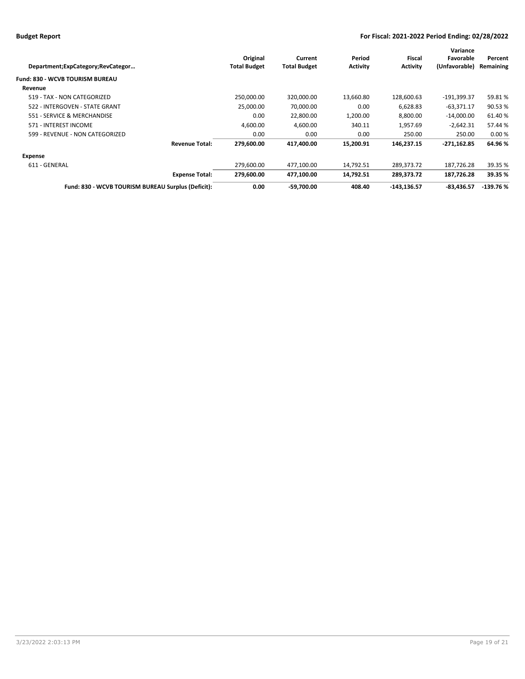| Department;ExpCategory;RevCategor                  | Original<br><b>Total Budget</b> | Current<br><b>Total Budget</b> | Period<br><b>Activity</b> | Fiscal<br><b>Activity</b> | Variance<br>Favorable<br>(Unfavorable) | Percent<br>Remaining |
|----------------------------------------------------|---------------------------------|--------------------------------|---------------------------|---------------------------|----------------------------------------|----------------------|
| Fund: 830 - WCVB TOURISM BUREAU                    |                                 |                                |                           |                           |                                        |                      |
| Revenue                                            |                                 |                                |                           |                           |                                        |                      |
| 519 - TAX - NON CATEGORIZED                        | 250,000.00                      | 320,000.00                     | 13,660.80                 | 128,600.63                | $-191,399.37$                          | 59.81%               |
| 522 - INTERGOVEN - STATE GRANT                     | 25,000.00                       | 70,000.00                      | 0.00                      | 6,628.83                  | $-63,371.17$                           | 90.53%               |
| 551 - SERVICE & MERCHANDISE                        | 0.00                            | 22,800.00                      | 1,200.00                  | 8.800.00                  | $-14,000.00$                           | 61.40%               |
| 571 - INTEREST INCOME                              | 4,600.00                        | 4,600.00                       | 340.11                    | 1,957.69                  | $-2,642.31$                            | 57.44 %              |
| 599 - REVENUE - NON CATEGORIZED                    | 0.00                            | 0.00                           | 0.00                      | 250.00                    | 250.00                                 | 0.00%                |
| <b>Revenue Total:</b>                              | 279,600.00                      | 417,400.00                     | 15,200.91                 | 146,237.15                | $-271,162.85$                          | 64.96%               |
| Expense                                            |                                 |                                |                           |                           |                                        |                      |
| 611 - GENERAL                                      | 279,600.00                      | 477,100.00                     | 14,792.51                 | 289,373.72                | 187,726.28                             | 39.35 %              |
| <b>Expense Total:</b>                              | 279,600.00                      | 477,100.00                     | 14,792.51                 | 289,373.72                | 187,726.28                             | 39.35 %              |
| Fund: 830 - WCVB TOURISM BUREAU Surplus (Deficit): | 0.00                            | $-59.700.00$                   | 408.40                    | $-143,136.57$             | $-83,436.57$                           | $-139.76%$           |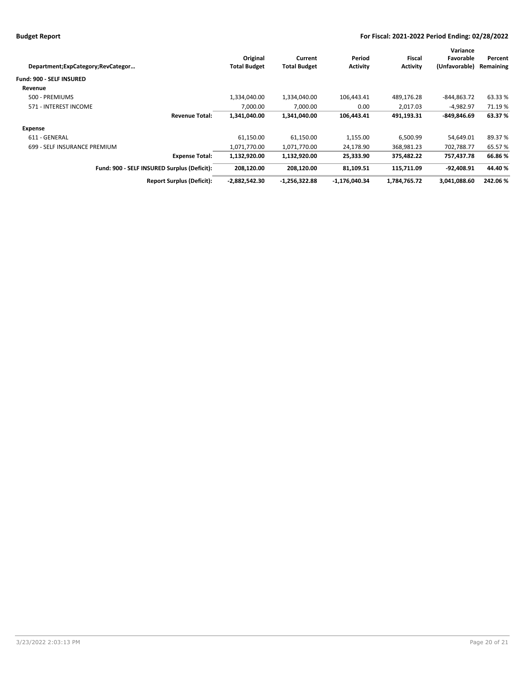|                                             |                     |                     |                 |                 | Variance      |           |
|---------------------------------------------|---------------------|---------------------|-----------------|-----------------|---------------|-----------|
|                                             | Original            | Current             | Period          | Fiscal          | Favorable     | Percent   |
| Department;ExpCategory;RevCategor           | <b>Total Budget</b> | <b>Total Budget</b> | <b>Activity</b> | <b>Activity</b> | (Unfavorable) | Remaining |
| <b>Fund: 900 - SELF INSURED</b>             |                     |                     |                 |                 |               |           |
| Revenue                                     |                     |                     |                 |                 |               |           |
| 500 - PREMIUMS                              | 1,334,040.00        | 1,334,040.00        | 106,443.41      | 489,176.28      | -844,863.72   | 63.33%    |
| 571 - INTEREST INCOME                       | 7.000.00            | 7,000.00            | 0.00            | 2.017.03        | -4.982.97     | 71.19 %   |
| <b>Revenue Total:</b>                       | 1,341,040.00        | 1,341,040.00        | 106,443.41      | 491,193.31      | $-849.846.69$ | 63.37 %   |
| <b>Expense</b>                              |                     |                     |                 |                 |               |           |
| 611 - GENERAL                               | 61,150.00           | 61,150.00           | 1,155.00        | 6,500.99        | 54,649.01     | 89.37%    |
| 699 - SELF INSURANCE PREMIUM                | 1,071,770.00        | 1,071,770.00        | 24,178.90       | 368,981.23      | 702,788.77    | 65.57%    |
| <b>Expense Total:</b>                       | 1,132,920.00        | 1,132,920.00        | 25,333.90       | 375,482.22      | 757,437.78    | 66.86%    |
| Fund: 900 - SELF INSURED Surplus (Deficit): | 208.120.00          | 208.120.00          | 81.109.51       | 115.711.09      | $-92,408.91$  | 44.40 %   |
| <b>Report Surplus (Deficit):</b>            | $-2,882,542.30$     | $-1,256,322.88$     | $-1,176,040.34$ | 1,784,765.72    | 3,041,088.60  | 242.06%   |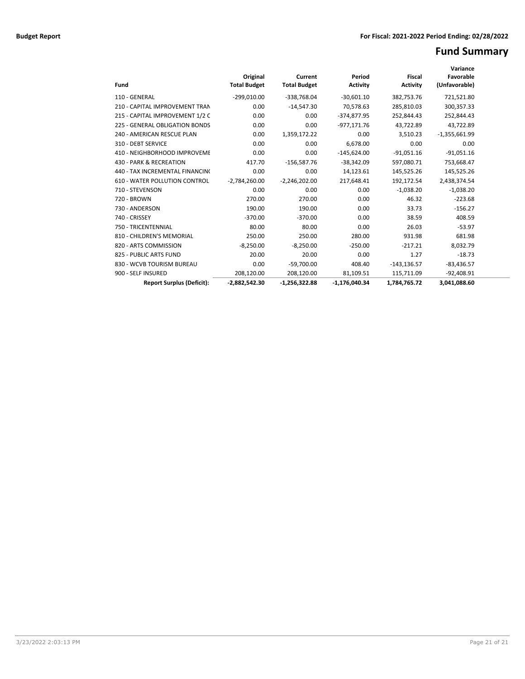# **Fund Summary**

| Fund                                 | Original<br><b>Total Budget</b> | Current<br><b>Total Budget</b> | Period<br><b>Activity</b> | <b>Fiscal</b><br><b>Activity</b> | Variance<br>Favorable<br>(Unfavorable) |  |
|--------------------------------------|---------------------------------|--------------------------------|---------------------------|----------------------------------|----------------------------------------|--|
| 110 - GENERAL                        | $-299,010.00$                   | $-338,768.04$                  | $-30.601.10$              | 382,753.76                       | 721,521.80                             |  |
| 210 - CAPITAL IMPROVEMENT TRAN       | 0.00                            | $-14,547.30$                   | 70,578.63                 | 285,810.03                       | 300,357.33                             |  |
| 215 - CAPITAL IMPROVEMENT 1/2 C      | 0.00                            | 0.00                           | -374,877.95               | 252,844.43                       | 252,844.43                             |  |
| 225 - GENERAL OBLIGATION BONDS       | 0.00                            | 0.00                           | $-977,171.76$             | 43,722.89                        | 43,722.89                              |  |
| 240 - AMERICAN RESCUE PLAN           | 0.00                            | 1,359,172.22                   | 0.00                      | 3,510.23                         | $-1,355,661.99$                        |  |
| 310 - DEBT SERVICE                   | 0.00                            | 0.00                           | 6.678.00                  | 0.00                             | 0.00                                   |  |
| 410 - NEIGHBORHOOD IMPROVEME         | 0.00                            | 0.00                           | $-145,624.00$             | $-91,051.16$                     | $-91,051.16$                           |  |
| 430 - PARK & RECREATION              | 417.70                          | $-156,587.76$                  | $-38,342.09$              | 597,080.71                       | 753,668.47                             |  |
| 440 - TAX INCREMENTAL FINANCINO      | 0.00                            | 0.00                           | 14,123.61                 | 145,525.26                       | 145,525.26                             |  |
| <b>610 - WATER POLLUTION CONTROL</b> | $-2,784,260.00$                 | $-2,246,202.00$                | 217,648.41                | 192,172.54                       | 2,438,374.54                           |  |
| 710 - STEVENSON                      | 0.00                            | 0.00                           | 0.00                      | $-1,038.20$                      | $-1,038.20$                            |  |
| 720 - BROWN                          | 270.00                          | 270.00                         | 0.00                      | 46.32                            | $-223.68$                              |  |
| 730 - ANDERSON                       | 190.00                          | 190.00                         | 0.00                      | 33.73                            | $-156.27$                              |  |
| 740 - CRISSEY                        | $-370.00$                       | $-370.00$                      | 0.00                      | 38.59                            | 408.59                                 |  |
| 750 - TRICENTENNIAL                  | 80.00                           | 80.00                          | 0.00                      | 26.03                            | $-53.97$                               |  |
| 810 - CHILDREN'S MEMORIAL            | 250.00                          | 250.00                         | 280.00                    | 931.98                           | 681.98                                 |  |
| 820 - ARTS COMMISSION                | $-8,250.00$                     | $-8,250.00$                    | $-250.00$                 | $-217.21$                        | 8,032.79                               |  |
| 825 - PUBLIC ARTS FUND               | 20.00                           | 20.00                          | 0.00                      | 1.27                             | $-18.73$                               |  |
| 830 - WCVB TOURISM BUREAU            | 0.00                            | $-59,700.00$                   | 408.40                    | $-143, 136.57$                   | $-83,436.57$                           |  |
| 900 - SELF INSURED                   | 208,120.00                      | 208,120.00                     | 81,109.51                 | 115,711.09                       | $-92,408.91$                           |  |
| <b>Report Surplus (Deficit):</b>     | $-2,882,542.30$                 | $-1.256.322.88$                | $-1.176.040.34$           | 1,784,765.72                     | 3.041.088.60                           |  |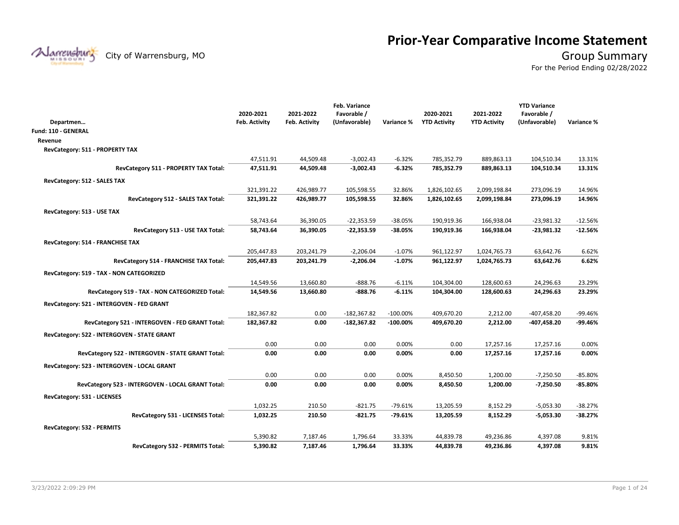# **Prior-Year Comparative Income Statement**

Narrensburg

City of Warrensburg, MO **Group Summary** 

For the Period Ending 02/28/2022

|                                                   |                      |               | Feb. Variance |             |                     |                     | <b>YTD Variance</b> |            |
|---------------------------------------------------|----------------------|---------------|---------------|-------------|---------------------|---------------------|---------------------|------------|
|                                                   | 2020-2021            | 2021-2022     | Favorable /   |             | 2020-2021           | 2021-2022           | Favorable /         |            |
| Departmen                                         | <b>Feb. Activity</b> | Feb. Activity | (Unfavorable) | Variance %  | <b>YTD Activity</b> | <b>YTD Activity</b> | (Unfavorable)       | Variance % |
| Fund: 110 - GENERAL                               |                      |               |               |             |                     |                     |                     |            |
| Revenue                                           |                      |               |               |             |                     |                     |                     |            |
| RevCategory: 511 - PROPERTY TAX                   |                      |               |               |             |                     |                     |                     |            |
|                                                   | 47,511.91            | 44,509.48     | $-3,002.43$   | $-6.32%$    | 785,352.79          | 889,863.13          | 104,510.34          | 13.31%     |
| RevCategory 511 - PROPERTY TAX Total:             | 47,511.91            | 44,509.48     | $-3,002.43$   | $-6.32%$    | 785,352.79          | 889,863.13          | 104,510.34          | 13.31%     |
| RevCategory: 512 - SALES TAX                      |                      |               |               |             |                     |                     |                     |            |
|                                                   | 321,391.22           | 426,989.77    | 105,598.55    | 32.86%      | 1,826,102.65        | 2,099,198.84        | 273,096.19          | 14.96%     |
| RevCategory 512 - SALES TAX Total:                | 321,391.22           | 426,989.77    | 105,598.55    | 32.86%      | 1,826,102.65        | 2,099,198.84        | 273,096.19          | 14.96%     |
| RevCategory: 513 - USE TAX                        |                      |               |               |             |                     |                     |                     |            |
|                                                   | 58,743.64            | 36,390.05     | $-22,353.59$  | $-38.05%$   | 190,919.36          | 166,938.04          | $-23,981.32$        | $-12.56%$  |
| RevCategory 513 - USE TAX Total:                  | 58,743.64            | 36,390.05     | $-22,353.59$  | $-38.05%$   | 190,919.36          | 166,938.04          | $-23,981.32$        | $-12.56%$  |
| RevCategory: 514 - FRANCHISE TAX                  |                      |               |               |             |                     |                     |                     |            |
|                                                   | 205,447.83           | 203,241.79    | $-2,206.04$   | $-1.07%$    | 961,122.97          | 1,024,765.73        | 63,642.76           | 6.62%      |
| RevCategory 514 - FRANCHISE TAX Total:            | 205,447.83           | 203,241.79    | $-2,206.04$   | $-1.07\%$   | 961,122.97          | 1,024,765.73        | 63,642.76           | 6.62%      |
| RevCategory: 519 - TAX - NON CATEGORIZED          |                      |               |               |             |                     |                     |                     |            |
|                                                   | 14,549.56            | 13,660.80     | -888.76       | $-6.11%$    | 104,304.00          | 128,600.63          | 24,296.63           | 23.29%     |
| RevCategory 519 - TAX - NON CATEGORIZED Total:    | 14,549.56            | 13,660.80     | $-888.76$     | $-6.11%$    | 104,304.00          | 128,600.63          | 24,296.63           | 23.29%     |
| RevCategory: 521 - INTERGOVEN - FED GRANT         |                      |               |               |             |                     |                     |                     |            |
|                                                   | 182,367.82           | 0.00          | $-182,367.82$ | $-100.00\%$ | 409,670.20          | 2,212.00            | $-407,458.20$       | -99.46%    |
| RevCategory 521 - INTERGOVEN - FED GRANT Total:   | 182,367.82           | 0.00          | $-182,367.82$ | $-100.00%$  | 409,670.20          | 2,212.00            | -407,458.20         | -99.46%    |
| RevCategory: 522 - INTERGOVEN - STATE GRANT       |                      |               |               |             |                     |                     |                     |            |
|                                                   | 0.00                 | 0.00          | 0.00          | 0.00%       | 0.00                | 17,257.16           | 17,257.16           | 0.00%      |
| RevCategory 522 - INTERGOVEN - STATE GRANT Total: | 0.00                 | 0.00          | 0.00          | 0.00%       | 0.00                | 17,257.16           | 17,257.16           | 0.00%      |
| RevCategory: 523 - INTERGOVEN - LOCAL GRANT       |                      |               |               |             |                     |                     |                     |            |
|                                                   | 0.00                 | 0.00          | 0.00          | 0.00%       | 8,450.50            | 1,200.00            | $-7,250.50$         | $-85.80%$  |
| RevCategory 523 - INTERGOVEN - LOCAL GRANT Total: | 0.00                 | 0.00          | 0.00          | 0.00%       | 8,450.50            | 1,200.00            | $-7,250.50$         | $-85.80%$  |
| RevCategory: 531 - LICENSES                       |                      |               |               |             |                     |                     |                     |            |
|                                                   | 1,032.25             | 210.50        | $-821.75$     | $-79.61%$   | 13,205.59           | 8,152.29            | $-5,053.30$         | $-38.27%$  |
| RevCategory 531 - LICENSES Total:                 | 1,032.25             | 210.50        | -821.75       | $-79.61%$   | 13,205.59           | 8,152.29            | $-5,053.30$         | $-38.27%$  |
| RevCategory: 532 - PERMITS                        |                      |               |               |             |                     |                     |                     |            |
|                                                   | 5,390.82             | 7,187.46      | 1,796.64      | 33.33%      | 44,839.78           | 49,236.86           | 4,397.08            | 9.81%      |
| RevCategory 532 - PERMITS Total:                  | 5,390.82             | 7,187.46      | 1,796.64      | 33.33%      | 44,839.78           | 49,236.86           | 4,397.08            | 9.81%      |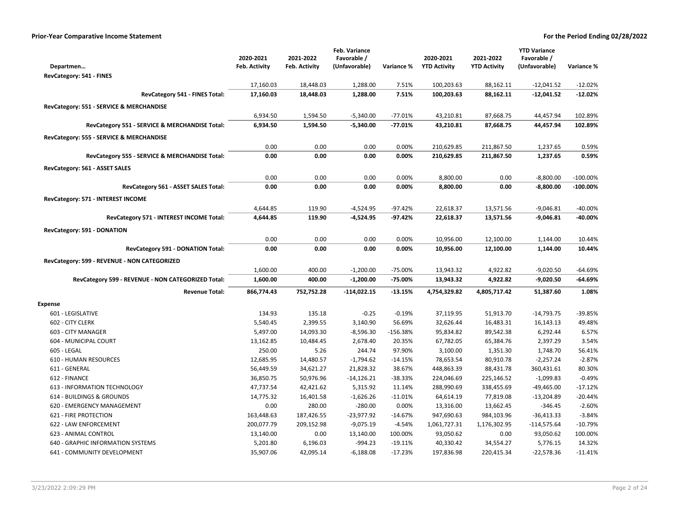|                                                    |                        |                        | Feb. Variance            |                     |                       |                       | <b>YTD Variance</b>        |                    |
|----------------------------------------------------|------------------------|------------------------|--------------------------|---------------------|-----------------------|-----------------------|----------------------------|--------------------|
|                                                    | 2020-2021              | 2021-2022              | Favorable /              |                     | 2020-2021             | 2021-2022             | Favorable /                |                    |
| Departmen                                          | Feb. Activity          | <b>Feb. Activity</b>   | (Unfavorable)            | Variance %          | <b>YTD Activity</b>   | <b>YTD Activity</b>   | (Unfavorable)              | Variance %         |
| RevCategory: 541 - FINES                           |                        |                        |                          |                     |                       |                       |                            |                    |
|                                                    | 17,160.03              | 18,448.03              | 1,288.00                 | 7.51%               | 100,203.63            | 88,162.11             | $-12,041.52$               | $-12.02%$          |
| RevCategory 541 - FINES Total:                     | 17,160.03              | 18,448.03              | 1,288.00                 | 7.51%               | 100,203.63            | 88,162.11             | $-12,041.52$               | $-12.02%$          |
| RevCategory: 551 - SERVICE & MERCHANDISE           |                        |                        |                          |                     |                       |                       |                            |                    |
|                                                    | 6,934.50               | 1,594.50               | $-5,340.00$              | $-77.01%$           | 43,210.81             | 87,668.75             | 44,457.94                  | 102.89%            |
| RevCategory 551 - SERVICE & MERCHANDISE Total:     | 6,934.50               | 1,594.50               | $-5,340.00$              | $-77.01%$           | 43,210.81             | 87,668.75             | 44,457.94                  | 102.89%            |
| RevCategory: 555 - SERVICE & MERCHANDISE           |                        |                        |                          |                     |                       |                       |                            |                    |
|                                                    | 0.00                   | 0.00                   | 0.00                     | 0.00%               | 210,629.85            | 211,867.50            | 1,237.65                   | 0.59%              |
| RevCategory 555 - SERVICE & MERCHANDISE Total:     | 0.00                   | 0.00                   | 0.00                     | 0.00%               | 210,629.85            | 211,867.50            | 1,237.65                   | 0.59%              |
|                                                    |                        |                        |                          |                     |                       |                       |                            |                    |
| RevCategory: 561 - ASSET SALES                     | 0.00                   | 0.00                   | 0.00                     | 0.00%               |                       | 0.00                  |                            | $-100.00%$         |
| RevCategory 561 - ASSET SALES Total:               | 0.00                   | 0.00                   | 0.00                     | 0.00%               | 8,800.00<br>8,800.00  | 0.00                  | $-8,800.00$<br>$-8,800.00$ | $-100.00\%$        |
|                                                    |                        |                        |                          |                     |                       |                       |                            |                    |
| RevCategory: 571 - INTEREST INCOME                 |                        |                        |                          |                     |                       |                       |                            |                    |
|                                                    | 4,644.85               | 119.90                 | $-4,524.95$              | $-97.42%$           | 22,618.37             | 13,571.56             | $-9,046.81$                | $-40.00%$          |
| RevCategory 571 - INTEREST INCOME Total:           | 4,644.85               | 119.90                 | $-4,524.95$              | -97.42%             | 22,618.37             | 13,571.56             | $-9,046.81$                | -40.00%            |
| RevCategory: 591 - DONATION                        |                        |                        |                          |                     |                       |                       |                            |                    |
|                                                    | 0.00                   | 0.00                   | 0.00                     | 0.00%               | 10,956.00             | 12,100.00             | 1,144.00                   | 10.44%             |
| RevCategory 591 - DONATION Total:                  | 0.00                   | 0.00                   | 0.00                     | 0.00%               | 10,956.00             | 12,100.00             | 1,144.00                   | 10.44%             |
| RevCategory: 599 - REVENUE - NON CATEGORIZED       |                        |                        |                          |                     |                       |                       |                            |                    |
|                                                    | 1,600.00               | 400.00                 | $-1,200.00$              | -75.00%             | 13,943.32             | 4,922.82              | $-9,020.50$                | $-64.69%$          |
| RevCategory 599 - REVENUE - NON CATEGORIZED Total: | 1,600.00               | 400.00                 | $-1,200.00$              | -75.00%             | 13,943.32             | 4,922.82              | $-9,020.50$                | -64.69%            |
| <b>Revenue Total:</b>                              | 866,774.43             | 752,752.28             | $-114,022.15$            | $-13.15%$           | 4,754,329.82          | 4,805,717.42          | 51,387.60                  | 1.08%              |
|                                                    |                        |                        |                          |                     |                       |                       |                            |                    |
| <b>Expense</b>                                     |                        |                        |                          |                     |                       |                       |                            |                    |
| 601 - LEGISLATIVE                                  | 134.93                 | 135.18                 | $-0.25$                  | $-0.19%$            | 37,119.95             | 51,913.70             | $-14,793.75$               | -39.85%            |
| 602 - CITY CLERK                                   | 5,540.45               | 2,399.55               | 3,140.90                 | 56.69%              | 32,626.44             | 16,483.31             | 16,143.13                  | 49.48%             |
| 603 - CITY MANAGER                                 | 5,497.00               | 14,093.30              | $-8,596.30$              | $-156.38%$          | 95,834.82             | 89,542.38             | 6,292.44                   | 6.57%              |
| 604 - MUNICIPAL COURT                              | 13,162.85              | 10,484.45              | 2,678.40                 | 20.35%              | 67,782.05             | 65,384.76             | 2,397.29                   | 3.54%              |
| 605 - LEGAL<br><b>610 - HUMAN RESOURCES</b>        | 250.00                 | 5.26                   | 244.74                   | 97.90%              | 3,100.00<br>78,653.54 | 1,351.30<br>80,910.78 | 1,748.70<br>$-2,257.24$    | 56.41%<br>$-2.87%$ |
| 611 - GENERAL                                      | 12,685.95<br>56,449.59 | 14,480.57<br>34,621.27 | $-1,794.62$<br>21,828.32 | $-14.15%$<br>38.67% | 448,863.39            | 88,431.78             | 360,431.61                 | 80.30%             |
| 612 - FINANCE                                      | 36,850.75              | 50,976.96              | $-14,126.21$             | -38.33%             | 224,046.69            | 225,146.52            | $-1,099.83$                | $-0.49%$           |
| 613 - INFORMATION TECHNOLOGY                       | 47,737.54              | 42,421.62              | 5,315.92                 | 11.14%              | 288,990.69            | 338,455.69            | $-49,465.00$               | $-17.12%$          |
| 614 - BUILDINGS & GROUNDS                          | 14,775.32              | 16,401.58              | $-1,626.26$              | $-11.01%$           | 64,614.19             | 77,819.08             | $-13,204.89$               | $-20.44%$          |
| 620 - EMERGENCY MANAGEMENT                         | 0.00                   | 280.00                 | $-280.00$                | 0.00%               | 13,316.00             | 13,662.45             | $-346.45$                  | $-2.60%$           |
| <b>621 - FIRE PROTECTION</b>                       | 163,448.63             | 187,426.55             | $-23,977.92$             | $-14.67%$           | 947,690.63            | 984,103.96            | $-36,413.33$               | $-3.84%$           |
| 622 - LAW ENFORCEMENT                              | 200,077.79             | 209,152.98             | $-9,075.19$              | $-4.54%$            | 1,061,727.31          | 1,176,302.95          | $-114,575.64$              | $-10.79%$          |
| 623 - ANIMAL CONTROL                               | 13,140.00              | 0.00                   | 13,140.00                | 100.00%             | 93,050.62             | 0.00                  | 93,050.62                  | 100.00%            |
| 640 - GRAPHIC INFORMATION SYSTEMS                  | 5,201.80               | 6,196.03               | $-994.23$                | $-19.11%$           | 40,330.42             | 34,554.27             | 5,776.15                   | 14.32%             |
| 641 - COMMUNITY DEVELOPMENT                        | 35,907.06              | 42,095.14              | $-6,188.08$              | $-17.23%$           | 197,836.98            | 220,415.34            | $-22,578.36$               | $-11.41%$          |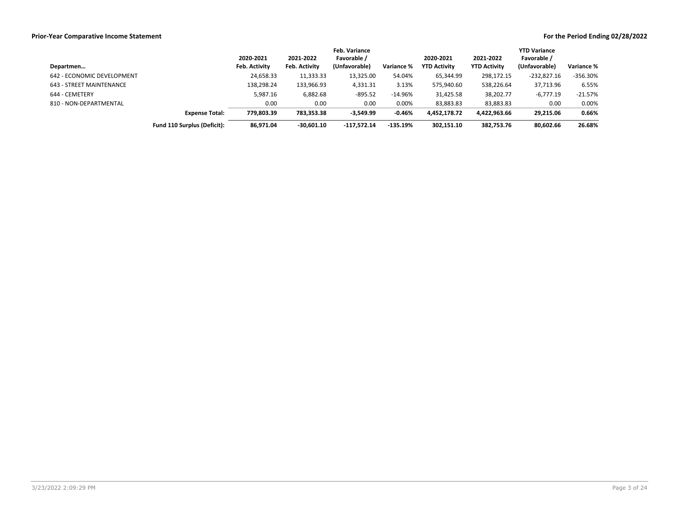|                            |                             |                      |                      | Feb. Variance |            |                     |                     | <b>YTD Variance</b> |            |
|----------------------------|-----------------------------|----------------------|----------------------|---------------|------------|---------------------|---------------------|---------------------|------------|
|                            |                             | 2020-2021            | 2021-2022            | Favorable /   |            | 2020-2021           | 2021-2022           | Favorable /         |            |
| Departmen                  |                             | <b>Feb. Activity</b> | <b>Feb. Activity</b> | (Unfavorable) | Variance % | <b>YTD Activity</b> | <b>YTD Activity</b> | (Unfavorable)       | Variance % |
| 642 - ECONOMIC DEVELOPMENT |                             | 24,658.33            | 11,333.33            | 13,325.00     | 54.04%     | 65,344.99           | 298,172.15          | $-232,827.16$       | $-356.30%$ |
| 643 - STREET MAINTENANCE   |                             | 138,298.24           | 133,966.93           | 4,331.31      | 3.13%      | 575,940.60          | 538,226.64          | 37,713.96           | 6.55%      |
| 644 - CEMETERY             |                             | 5,987.16             | 6,882.68             | $-895.52$     | $-14.96%$  | 31,425.58           | 38,202.77           | $-6,777.19$         | $-21.57%$  |
| 810 - NON-DEPARTMENTAL     |                             | 0.00                 | 0.00                 | 0.00          | 0.00%      | 83,883.83           | 83,883.83           | 0.00                | 0.00%      |
|                            | <b>Expense Total:</b>       | 779.803.39           | 783,353.38           | $-3.549.99$   | $-0.46%$   | 4.452.178.72        | 4,422,963.66        | 29.215.06           | 0.66%      |
|                            | Fund 110 Surplus (Deficit): | 86,971.04            | $-30,601.10$         | $-117.572.14$ | $-135.19%$ | 302,151.10          | 382,753.76          | 80,602.66           | 26.68%     |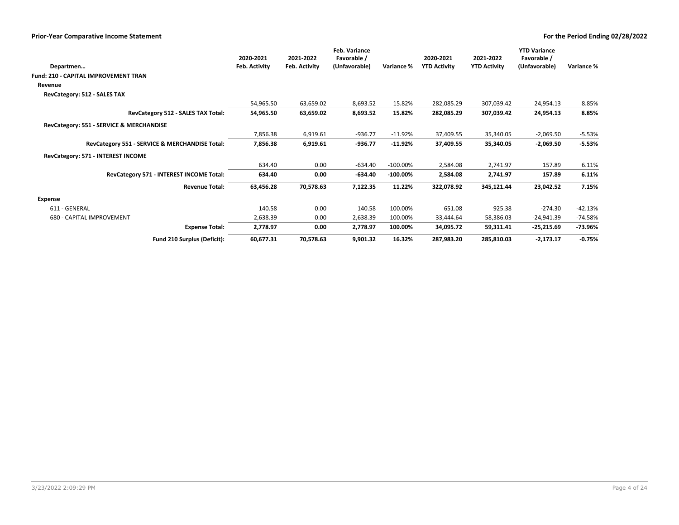|                                                | 2020-2021     | 2021-2022            | Feb. Variance<br>Favorable / |             | 2020-2021           | 2021-2022           | <b>YTD Variance</b><br>Favorable / |            |
|------------------------------------------------|---------------|----------------------|------------------------------|-------------|---------------------|---------------------|------------------------------------|------------|
| Departmen                                      | Feb. Activity | <b>Feb. Activity</b> | (Unfavorable)                | Variance %  | <b>YTD Activity</b> | <b>YTD Activity</b> | (Unfavorable)                      | Variance % |
| Fund: 210 - CAPITAL IMPROVEMENT TRAN           |               |                      |                              |             |                     |                     |                                    |            |
| Revenue                                        |               |                      |                              |             |                     |                     |                                    |            |
| RevCategory: 512 - SALES TAX                   |               |                      |                              |             |                     |                     |                                    |            |
|                                                | 54,965.50     | 63,659.02            | 8,693.52                     | 15.82%      | 282,085.29          | 307,039.42          | 24,954.13                          | 8.85%      |
| RevCategory 512 - SALES TAX Total:             | 54,965.50     | 63,659.02            | 8,693.52                     | 15.82%      | 282,085.29          | 307,039.42          | 24,954.13                          | 8.85%      |
| RevCategory: 551 - SERVICE & MERCHANDISE       |               |                      |                              |             |                     |                     |                                    |            |
|                                                | 7,856.38      | 6,919.61             | $-936.77$                    | $-11.92%$   | 37,409.55           | 35,340.05           | $-2,069.50$                        | $-5.53%$   |
| RevCategory 551 - SERVICE & MERCHANDISE Total: | 7,856.38      | 6,919.61             | -936.77                      | $-11.92%$   | 37,409.55           | 35,340.05           | $-2,069.50$                        | $-5.53%$   |
| RevCategory: 571 - INTEREST INCOME             |               |                      |                              |             |                     |                     |                                    |            |
|                                                | 634.40        | 0.00                 | $-634.40$                    | $-100.00\%$ | 2,584.08            | 2,741.97            | 157.89                             | 6.11%      |
| RevCategory 571 - INTEREST INCOME Total:       | 634.40        | 0.00                 | $-634.40$                    | $-100.00\%$ | 2,584.08            | 2,741.97            | 157.89                             | 6.11%      |
| <b>Revenue Total:</b>                          | 63,456.28     | 70,578.63            | 7,122.35                     | 11.22%      | 322,078.92          | 345,121.44          | 23,042.52                          | 7.15%      |
| Expense                                        |               |                      |                              |             |                     |                     |                                    |            |
| 611 - GENERAL                                  | 140.58        | 0.00                 | 140.58                       | 100.00%     | 651.08              | 925.38              | $-274.30$                          | $-42.13%$  |
| 680 - CAPITAL IMPROVEMENT                      | 2,638.39      | 0.00                 | 2,638.39                     | 100.00%     | 33,444.64           | 58,386.03           | $-24,941.39$                       | $-74.58%$  |
| <b>Expense Total:</b>                          | 2,778.97      | 0.00                 | 2,778.97                     | 100.00%     | 34,095.72           | 59,311.41           | $-25,215.69$                       | -73.96%    |
| Fund 210 Surplus (Deficit):                    | 60,677.31     | 70,578.63            | 9,901.32                     | 16.32%      | 287,983.20          | 285,810.03          | $-2,173.17$                        | $-0.75%$   |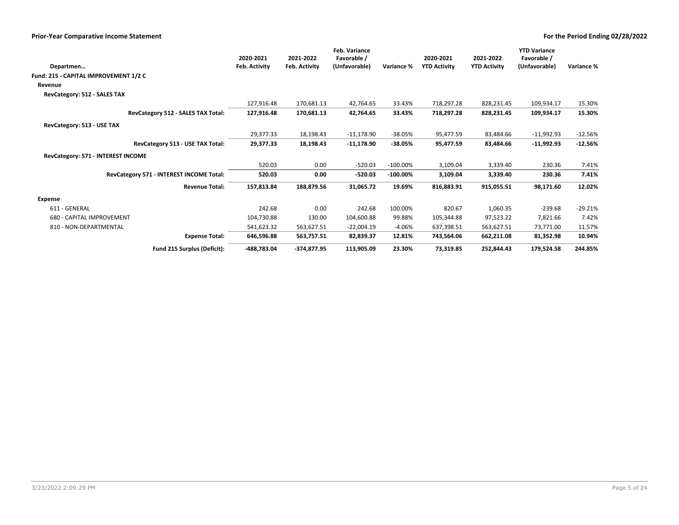| Departmen                                | 2020-2021<br><b>Feb. Activity</b> | 2021-2022<br><b>Feb. Activity</b> | <b>Feb. Variance</b><br>Favorable /<br>(Unfavorable) | Variance %  | 2020-2021<br><b>YTD Activity</b> | 2021-2022<br><b>YTD Activity</b> | <b>YTD Variance</b><br>Favorable /<br>(Unfavorable) | Variance % |
|------------------------------------------|-----------------------------------|-----------------------------------|------------------------------------------------------|-------------|----------------------------------|----------------------------------|-----------------------------------------------------|------------|
| Fund: 215 - CAPITAL IMPROVEMENT 1/2 C    |                                   |                                   |                                                      |             |                                  |                                  |                                                     |            |
| Revenue                                  |                                   |                                   |                                                      |             |                                  |                                  |                                                     |            |
| RevCategory: 512 - SALES TAX             |                                   |                                   |                                                      |             |                                  |                                  |                                                     |            |
|                                          | 127,916.48                        | 170,681.13                        | 42,764.65                                            | 33.43%      | 718,297.28                       | 828,231.45                       | 109,934.17                                          | 15.30%     |
| RevCategory 512 - SALES TAX Total:       | 127,916.48                        | 170,681.13                        | 42,764.65                                            | 33.43%      | 718,297.28                       | 828,231.45                       | 109,934.17                                          | 15.30%     |
| RevCategory: 513 - USE TAX               |                                   |                                   |                                                      |             |                                  |                                  |                                                     |            |
|                                          | 29,377.33                         | 18,198.43                         | $-11,178.90$                                         | $-38.05%$   | 95,477.59                        | 83,484.66                        | $-11,992.93$                                        | $-12.56%$  |
| RevCategory 513 - USE TAX Total:         | 29,377.33                         | 18,198.43                         | $-11,178.90$                                         | $-38.05%$   | 95,477.59                        | 83,484.66                        | $-11,992.93$                                        | $-12.56%$  |
| RevCategory: 571 - INTEREST INCOME       |                                   |                                   |                                                      |             |                                  |                                  |                                                     |            |
|                                          | 520.03                            | 0.00                              | $-520.03$                                            | $-100.00\%$ | 3,109.04                         | 3,339.40                         | 230.36                                              | 7.41%      |
| RevCategory 571 - INTEREST INCOME Total: | 520.03                            | 0.00                              | $-520.03$                                            | $-100.00%$  | 3,109.04                         | 3,339.40                         | 230.36                                              | 7.41%      |
| <b>Revenue Total:</b>                    | 157,813.84                        | 188,879.56                        | 31,065.72                                            | 19.69%      | 816,883.91                       | 915,055.51                       | 98.171.60                                           | 12.02%     |
| Expense                                  |                                   |                                   |                                                      |             |                                  |                                  |                                                     |            |
| 611 - GENERAL                            | 242.68                            | 0.00                              | 242.68                                               | 100.00%     | 820.67                           | 1,060.35                         | $-239.68$                                           | $-29.21%$  |
| 680 - CAPITAL IMPROVEMENT                | 104,730.88                        | 130.00                            | 104,600.88                                           | 99.88%      | 105,344.88                       | 97,523.22                        | 7,821.66                                            | 7.42%      |
| 810 - NON-DEPARTMENTAL                   | 541,623.32                        | 563,627.51                        | $-22,004.19$                                         | $-4.06%$    | 637,398.51                       | 563,627.51                       | 73,771.00                                           | 11.57%     |
| <b>Expense Total:</b>                    | 646,596.88                        | 563,757.51                        | 82,839.37                                            | 12.81%      | 743,564.06                       | 662,211.08                       | 81,352.98                                           | 10.94%     |
| Fund 215 Surplus (Deficit):              | -488,783.04                       | $-374,877.95$                     | 113,905.09                                           | 23.30%      | 73,319.85                        | 252,844.43                       | 179,524.58                                          | 244.85%    |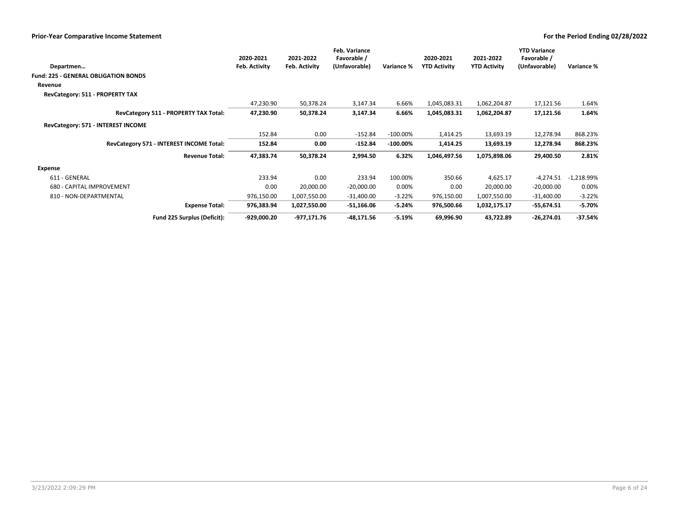|                                             | 2020-2021     | 2021-2022     | <b>Feb. Variance</b><br>Favorable / |             | 2020-2021           | 2021-2022           | <b>YTD Variance</b><br>Favorable / |              |
|---------------------------------------------|---------------|---------------|-------------------------------------|-------------|---------------------|---------------------|------------------------------------|--------------|
| Departmen                                   | Feb. Activity | Feb. Activity | (Unfavorable)                       | Variance %  | <b>YTD Activity</b> | <b>YTD Activity</b> | (Unfavorable)                      | Variance %   |
| <b>Fund: 225 - GENERAL OBLIGATION BONDS</b> |               |               |                                     |             |                     |                     |                                    |              |
| Revenue                                     |               |               |                                     |             |                     |                     |                                    |              |
| RevCategory: 511 - PROPERTY TAX             |               |               |                                     |             |                     |                     |                                    |              |
|                                             | 47,230.90     | 50,378.24     | 3,147.34                            | 6.66%       | 1,045,083.31        | 1,062,204.87        | 17,121.56                          | 1.64%        |
| RevCategory 511 - PROPERTY TAX Total:       | 47,230.90     | 50,378.24     | 3,147.34                            | 6.66%       | 1,045,083.31        | 1,062,204.87        | 17,121.56                          | 1.64%        |
| RevCategory: 571 - INTEREST INCOME          |               |               |                                     |             |                     |                     |                                    |              |
|                                             | 152.84        | 0.00          | $-152.84$                           | $-100.00\%$ | 1,414.25            | 13,693.19           | 12,278.94                          | 868.23%      |
| RevCategory 571 - INTEREST INCOME Total:    | 152.84        | 0.00          | $-152.84$                           | $-100.00\%$ | 1,414.25            | 13,693.19           | 12,278.94                          | 868.23%      |
| <b>Revenue Total:</b>                       | 47,383.74     | 50,378.24     | 2,994.50                            | 6.32%       | 1,046,497.56        | 1,075,898.06        | 29,400.50                          | 2.81%        |
| Expense                                     |               |               |                                     |             |                     |                     |                                    |              |
| 611 - GENERAL                               | 233.94        | 0.00          | 233.94                              | 100.00%     | 350.66              | 4,625.17            | $-4,274.51$                        | $-1,218.99%$ |
| 680 - CAPITAL IMPROVEMENT                   | 0.00          | 20,000.00     | $-20,000.00$                        | 0.00%       | 0.00                | 20,000.00           | $-20,000.00$                       | 0.00%        |
| 810 - NON-DEPARTMENTAL                      | 976,150.00    | 1,007,550.00  | -31,400.00                          | $-3.22%$    | 976,150.00          | 1,007,550.00        | -31,400.00                         | $-3.22%$     |
| <b>Expense Total:</b>                       | 976,383.94    | 1,027,550.00  | $-51,166.06$                        | $-5.24%$    | 976,500.66          | 1,032,175.17        | $-55,674.51$                       | $-5.70%$     |
| Fund 225 Surplus (Deficit):                 | -929,000.20   | -977,171.76   | -48,171.56                          | $-5.19%$    | 69,996.90           | 43,722.89           | $-26,274.01$                       | $-37.54%$    |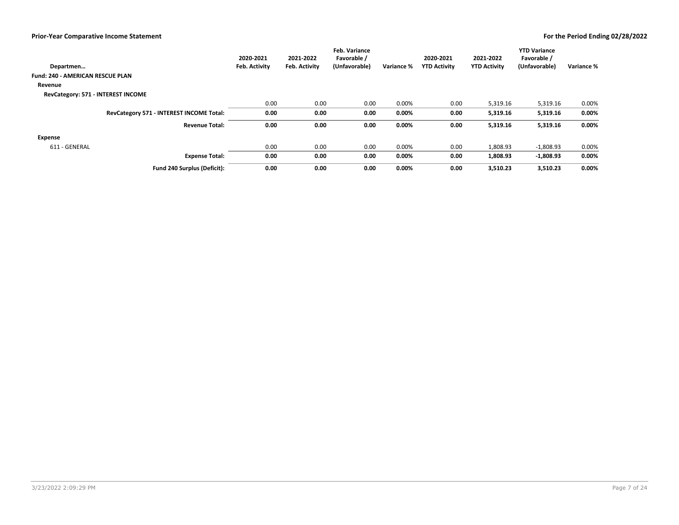| Departmen                                | 2020-2021<br>Feb. Activity | 2021-2022<br><b>Feb. Activity</b> | <b>Feb. Variance</b><br>Favorable /<br>(Unfavorable) | Variance % | 2020-2021<br><b>YTD Activity</b> | 2021-2022<br><b>YTD Activity</b> | <b>YTD Variance</b><br>Favorable /<br>(Unfavorable) | Variance % |
|------------------------------------------|----------------------------|-----------------------------------|------------------------------------------------------|------------|----------------------------------|----------------------------------|-----------------------------------------------------|------------|
| <b>Fund: 240 - AMERICAN RESCUE PLAN</b>  |                            |                                   |                                                      |            |                                  |                                  |                                                     |            |
|                                          |                            |                                   |                                                      |            |                                  |                                  |                                                     |            |
| Revenue                                  |                            |                                   |                                                      |            |                                  |                                  |                                                     |            |
| RevCategory: 571 - INTEREST INCOME       |                            |                                   |                                                      |            |                                  |                                  |                                                     |            |
|                                          | 0.00                       | 0.00                              | 0.00                                                 | 0.00%      | 0.00                             | 5,319.16                         | 5,319.16                                            | 0.00%      |
| RevCategory 571 - INTEREST INCOME Total: | 0.00                       | 0.00                              | 0.00                                                 | 0.00%      | 0.00                             | 5,319.16                         | 5,319.16                                            | $0.00\%$   |
| <b>Revenue Total:</b>                    | 0.00                       | 0.00                              | 0.00                                                 | 0.00%      | 0.00                             | 5,319.16                         | 5,319.16                                            | 0.00%      |
| <b>Expense</b>                           |                            |                                   |                                                      |            |                                  |                                  |                                                     |            |
| 611 - GENERAL                            | 0.00                       | 0.00                              | 0.00                                                 | 0.00%      | 0.00                             | 1,808.93                         | $-1,808.93$                                         | 0.00%      |
| <b>Expense Total:</b>                    | 0.00                       | 0.00                              | 0.00                                                 | 0.00%      | 0.00                             | 1,808.93                         | $-1.808.93$                                         | 0.00%      |
| Fund 240 Surplus (Deficit):              | 0.00                       | 0.00                              | 0.00                                                 | 0.00%      | 0.00                             | 3,510.23                         | 3,510.23                                            | 0.00%      |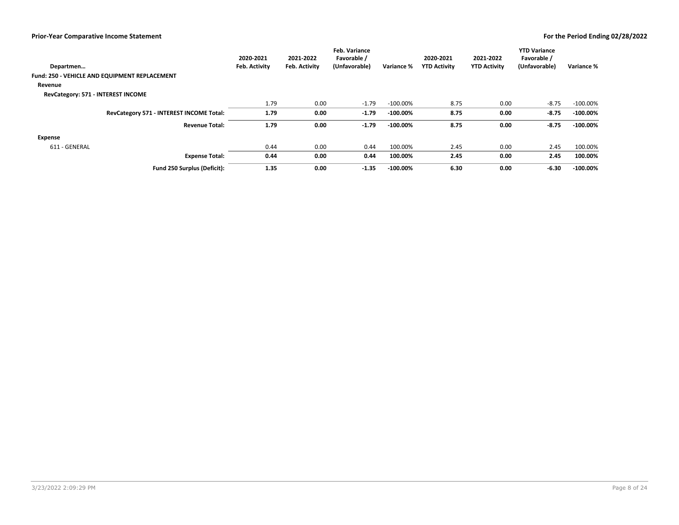| Departmen                                     | 2020-2021<br>Feb. Activity | 2021-2022<br>Feb. Activity | <b>Feb. Variance</b><br>Favorable /<br>(Unfavorable) | Variance %  | 2020-2021<br><b>YTD Activity</b> | 2021-2022<br><b>YTD Activity</b> | <b>YTD Variance</b><br>Favorable /<br>(Unfavorable) | Variance %  |
|-----------------------------------------------|----------------------------|----------------------------|------------------------------------------------------|-------------|----------------------------------|----------------------------------|-----------------------------------------------------|-------------|
|                                               |                            |                            |                                                      |             |                                  |                                  |                                                     |             |
| Fund: 250 - VEHICLE AND EQUIPMENT REPLACEMENT |                            |                            |                                                      |             |                                  |                                  |                                                     |             |
| Revenue                                       |                            |                            |                                                      |             |                                  |                                  |                                                     |             |
| RevCategory: 571 - INTEREST INCOME            |                            |                            |                                                      |             |                                  |                                  |                                                     |             |
|                                               | 1.79                       | 0.00                       | $-1.79$                                              | $-100.00\%$ | 8.75                             | 0.00                             | $-8.75$                                             | $-100.00\%$ |
| RevCategory 571 - INTEREST INCOME Total:      | 1.79                       | 0.00                       | $-1.79$                                              | $-100.00\%$ | 8.75                             | 0.00                             | $-8.75$                                             | $-100.00\%$ |
| <b>Revenue Total:</b>                         | 1.79                       | 0.00                       | $-1.79$                                              | $-100.00\%$ | 8.75                             | 0.00                             | $-8.75$                                             | $-100.00\%$ |
| <b>Expense</b>                                |                            |                            |                                                      |             |                                  |                                  |                                                     |             |
| 611 - GENERAL                                 | 0.44                       | 0.00                       | 0.44                                                 | 100.00%     | 2.45                             | 0.00                             | 2.45                                                | 100.00%     |
| <b>Expense Total:</b>                         | 0.44                       | 0.00                       | 0.44                                                 | 100.00%     | 2.45                             | 0.00                             | 2.45                                                | 100.00%     |
| Fund 250 Surplus (Deficit):                   | 1.35                       | 0.00                       | $-1.35$                                              | $-100.00\%$ | 6.30                             | 0.00                             | $-6.30$                                             | $-100.00\%$ |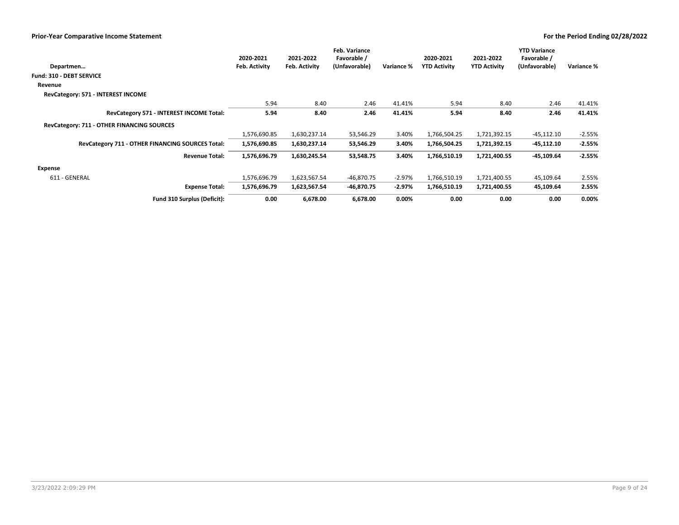|                                                  | 2020-2021     | 2021-2022     | <b>Feb. Variance</b><br>Favorable / |            | 2020-2021           | 2021-2022           | <b>YTD Variance</b><br>Favorable / |            |
|--------------------------------------------------|---------------|---------------|-------------------------------------|------------|---------------------|---------------------|------------------------------------|------------|
| Departmen                                        | Feb. Activity | Feb. Activity | (Unfavorable)                       | Variance % | <b>YTD Activity</b> | <b>YTD Activity</b> | (Unfavorable)                      | Variance % |
| <b>Fund: 310 - DEBT SERVICE</b>                  |               |               |                                     |            |                     |                     |                                    |            |
| Revenue                                          |               |               |                                     |            |                     |                     |                                    |            |
| RevCategory: 571 - INTEREST INCOME               |               |               |                                     |            |                     |                     |                                    |            |
|                                                  | 5.94          | 8.40          | 2.46                                | 41.41%     | 5.94                | 8.40                | 2.46                               | 41.41%     |
| RevCategory 571 - INTEREST INCOME Total:         | 5.94          | 8.40          | 2.46                                | 41.41%     | 5.94                | 8.40                | 2.46                               | 41.41%     |
| RevCategory: 711 - OTHER FINANCING SOURCES       |               |               |                                     |            |                     |                     |                                    |            |
|                                                  | 1,576,690.85  | 1,630,237.14  | 53,546.29                           | 3.40%      | 1,766,504.25        | 1,721,392.15        | $-45,112.10$                       | $-2.55%$   |
| RevCategory 711 - OTHER FINANCING SOURCES Total: | 1,576,690.85  | 1,630,237.14  | 53,546.29                           | 3.40%      | 1,766,504.25        | 1,721,392.15        | -45,112.10                         | $-2.55%$   |
| <b>Revenue Total:</b>                            | 1,576,696.79  | 1,630,245.54  | 53,548.75                           | 3.40%      | 1,766,510.19        | 1,721,400.55        | -45,109.64                         | $-2.55%$   |
| Expense                                          |               |               |                                     |            |                     |                     |                                    |            |
| 611 - GENERAL                                    | 1,576,696.79  | 1,623,567.54  | $-46,870.75$                        | $-2.97%$   | 1,766,510.19        | 1,721,400.55        | 45,109.64                          | 2.55%      |
| <b>Expense Total:</b>                            | 1,576,696.79  | 1,623,567.54  | $-46,870.75$                        | $-2.97%$   | 1,766,510.19        | 1,721,400.55        | 45,109.64                          | 2.55%      |
| Fund 310 Surplus (Deficit):                      | 0.00          | 6,678.00      | 6,678.00                            | $0.00\%$   | 0.00                | 0.00                | 0.00                               | $0.00\%$   |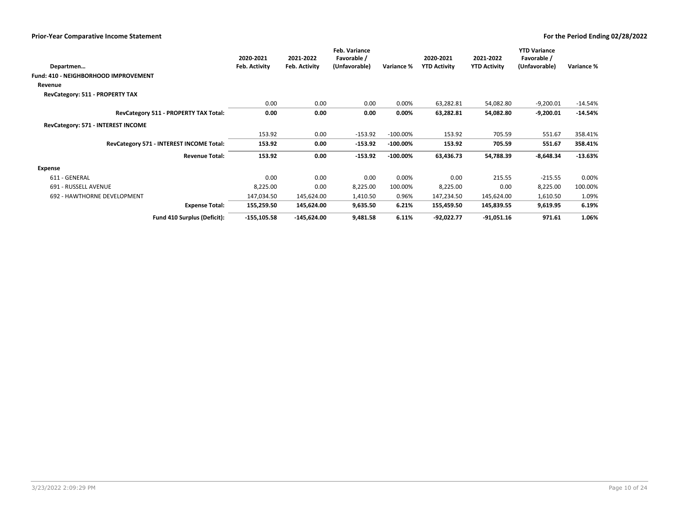| Departmen                                   | 2020-2021<br>Feb. Activity | 2021-2022<br>Feb. Activity | <b>Feb. Variance</b><br>Favorable /<br>(Unfavorable) | Variance %  | 2020-2021<br><b>YTD Activity</b> | 2021-2022<br><b>YTD Activity</b> | <b>YTD Variance</b><br>Favorable /<br>(Unfavorable) | Variance % |
|---------------------------------------------|----------------------------|----------------------------|------------------------------------------------------|-------------|----------------------------------|----------------------------------|-----------------------------------------------------|------------|
| <b>Fund: 410 - NEIGHBORHOOD IMPROVEMENT</b> |                            |                            |                                                      |             |                                  |                                  |                                                     |            |
| Revenue                                     |                            |                            |                                                      |             |                                  |                                  |                                                     |            |
| RevCategory: 511 - PROPERTY TAX             |                            |                            |                                                      |             |                                  |                                  |                                                     |            |
|                                             | 0.00                       | 0.00                       | 0.00                                                 | 0.00%       | 63,282.81                        | 54,082.80                        | $-9,200.01$                                         | $-14.54%$  |
| RevCategory 511 - PROPERTY TAX Total:       | 0.00                       | 0.00                       | 0.00                                                 | 0.00%       | 63,282.81                        | 54,082.80                        | $-9,200.01$                                         | $-14.54%$  |
| RevCategory: 571 - INTEREST INCOME          |                            |                            |                                                      |             |                                  |                                  |                                                     |            |
|                                             | 153.92                     | 0.00                       | $-153.92$                                            | $-100.00\%$ | 153.92                           | 705.59                           | 551.67                                              | 358.41%    |
| RevCategory 571 - INTEREST INCOME Total:    | 153.92                     | 0.00                       | $-153.92$                                            | $-100.00\%$ | 153.92                           | 705.59                           | 551.67                                              | 358.41%    |
| <b>Revenue Total:</b>                       | 153.92                     | 0.00                       | $-153.92$                                            | $-100.00\%$ | 63,436.73                        | 54,788.39                        | $-8,648.34$                                         | $-13.63%$  |
| Expense                                     |                            |                            |                                                      |             |                                  |                                  |                                                     |            |
| 611 - GENERAL                               | 0.00                       | 0.00                       | 0.00                                                 | 0.00%       | 0.00                             | 215.55                           | $-215.55$                                           | 0.00%      |
| 691 - RUSSELL AVENUE                        | 8,225.00                   | 0.00                       | 8,225.00                                             | 100.00%     | 8,225.00                         | 0.00                             | 8,225.00                                            | 100.00%    |
| 692 - HAWTHORNE DEVELOPMENT                 | 147,034.50                 | 145,624.00                 | 1,410.50                                             | 0.96%       | 147,234.50                       | 145,624.00                       | 1,610.50                                            | 1.09%      |
| <b>Expense Total:</b>                       | 155,259.50                 | 145,624.00                 | 9,635.50                                             | 6.21%       | 155,459.50                       | 145,839.55                       | 9,619.95                                            | 6.19%      |
| Fund 410 Surplus (Deficit):                 | $-155, 105.58$             | $-145,624.00$              | 9,481.58                                             | 6.11%       | $-92,022.77$                     | $-91,051.16$                     | 971.61                                              | 1.06%      |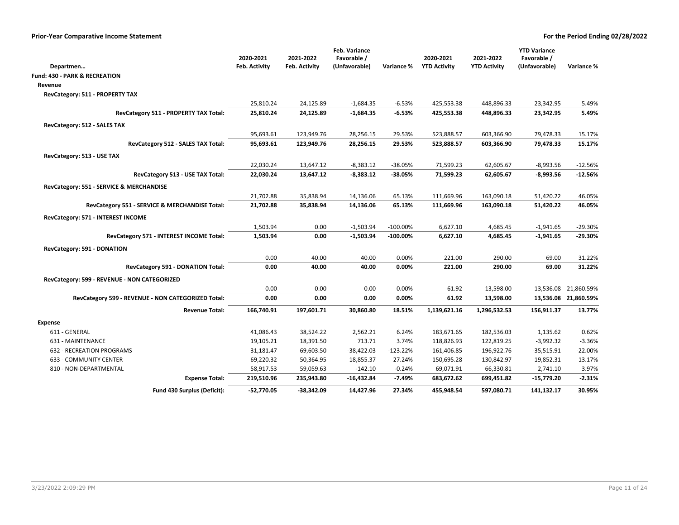|                                                       |               |                      | Feb. Variance |             |                     |                     | <b>YTD Variance</b> |                      |
|-------------------------------------------------------|---------------|----------------------|---------------|-------------|---------------------|---------------------|---------------------|----------------------|
|                                                       | 2020-2021     | 2021-2022            | Favorable /   |             | 2020-2021           | 2021-2022           | Favorable /         | Variance %           |
| Departmen<br><b>Fund: 430 - PARK &amp; RECREATION</b> | Feb. Activity | <b>Feb. Activity</b> | (Unfavorable) | Variance %  | <b>YTD Activity</b> | <b>YTD Activity</b> | (Unfavorable)       |                      |
|                                                       |               |                      |               |             |                     |                     |                     |                      |
| Revenue                                               |               |                      |               |             |                     |                     |                     |                      |
| RevCategory: 511 - PROPERTY TAX                       | 25,810.24     | 24,125.89            | $-1,684.35$   | $-6.53%$    | 425,553.38          | 448,896.33          | 23,342.95           | 5.49%                |
| RevCategory 511 - PROPERTY TAX Total:                 | 25,810.24     | 24,125.89            | $-1,684.35$   | $-6.53%$    | 425,553.38          | 448,896.33          | 23,342.95           | 5.49%                |
| RevCategory: 512 - SALES TAX                          |               |                      |               |             |                     |                     |                     |                      |
|                                                       | 95,693.61     | 123,949.76           | 28,256.15     | 29.53%      | 523,888.57          | 603,366.90          | 79,478.33           | 15.17%               |
| RevCategory 512 - SALES TAX Total:                    | 95,693.61     | 123,949.76           | 28,256.15     | 29.53%      | 523,888.57          | 603,366.90          | 79,478.33           | 15.17%               |
| RevCategory: 513 - USE TAX                            |               |                      |               |             |                     |                     |                     |                      |
|                                                       | 22,030.24     | 13,647.12            | $-8,383.12$   | $-38.05%$   | 71,599.23           | 62,605.67           | $-8,993.56$         | $-12.56%$            |
| RevCategory 513 - USE TAX Total:                      | 22,030.24     | 13,647.12            | $-8,383.12$   | $-38.05%$   | 71,599.23           | 62,605.67           | $-8,993.56$         | $-12.56%$            |
| RevCategory: 551 - SERVICE & MERCHANDISE              |               |                      |               |             |                     |                     |                     |                      |
|                                                       | 21,702.88     | 35,838.94            | 14,136.06     | 65.13%      | 111,669.96          | 163,090.18          | 51,420.22           | 46.05%               |
| RevCategory 551 - SERVICE & MERCHANDISE Total:        | 21,702.88     | 35,838.94            | 14,136.06     | 65.13%      | 111,669.96          | 163,090.18          | 51,420.22           | 46.05%               |
| RevCategory: 571 - INTEREST INCOME                    |               |                      |               |             |                     |                     |                     |                      |
|                                                       | 1,503.94      | 0.00                 | $-1,503.94$   | $-100.00\%$ | 6,627.10            | 4,685.45            | $-1,941.65$         | -29.30%              |
| RevCategory 571 - INTEREST INCOME Total:              | 1,503.94      | 0.00                 | $-1,503.94$   | $-100.00\%$ | 6,627.10            | 4,685.45            | $-1,941.65$         | -29.30%              |
| RevCategory: 591 - DONATION                           |               |                      |               |             |                     |                     |                     |                      |
|                                                       | 0.00          | 40.00                | 40.00         | 0.00%       | 221.00              | 290.00              | 69.00               | 31.22%               |
| RevCategory 591 - DONATION Total:                     | 0.00          | 40.00                | 40.00         | 0.00%       | 221.00              | 290.00              | 69.00               | 31.22%               |
| RevCategory: 599 - REVENUE - NON CATEGORIZED          |               |                      |               |             |                     |                     |                     |                      |
|                                                       | 0.00          | 0.00                 | 0.00          | 0.00%       | 61.92               | 13,598.00           |                     | 13,536.08 21,860.59% |
| RevCategory 599 - REVENUE - NON CATEGORIZED Total:    | 0.00          | 0.00                 | 0.00          | 0.00%       | 61.92               | 13,598.00           |                     | 13,536.08 21,860.59% |
| <b>Revenue Total:</b>                                 | 166,740.91    | 197,601.71           | 30,860.80     | 18.51%      | 1,139,621.16        | 1,296,532.53        | 156,911.37          | 13.77%               |
| <b>Expense</b>                                        |               |                      |               |             |                     |                     |                     |                      |
| 611 - GENERAL                                         | 41,086.43     | 38,524.22            | 2,562.21      | 6.24%       | 183,671.65          | 182,536.03          | 1,135.62            | 0.62%                |
| 631 - MAINTENANCE                                     | 19,105.21     | 18,391.50            | 713.71        | 3.74%       | 118,826.93          | 122,819.25          | $-3,992.32$         | $-3.36%$             |
| 632 - RECREATION PROGRAMS                             | 31,181.47     | 69,603.50            | $-38,422.03$  | $-123.22%$  | 161,406.85          | 196,922.76          | $-35,515.91$        | $-22.00%$            |
| 633 - COMMUNITY CENTER                                | 69,220.32     | 50,364.95            | 18,855.37     | 27.24%      | 150,695.28          | 130,842.97          | 19,852.31           | 13.17%               |
| 810 - NON-DEPARTMENTAL                                | 58,917.53     | 59,059.63            | $-142.10$     | $-0.24%$    | 69,071.91           | 66,330.81           | 2,741.10            | 3.97%                |
| <b>Expense Total:</b>                                 | 219,510.96    | 235,943.80           | $-16,432.84$  | $-7.49%$    | 683,672.62          | 699,451.82          | $-15,779.20$        | $-2.31%$             |
| Fund 430 Surplus (Deficit):                           | $-52.770.05$  | $-38,342.09$         | 14,427.96     | 27.34%      | 455.948.54          | 597,080.71          | 141,132.17          | 30.95%               |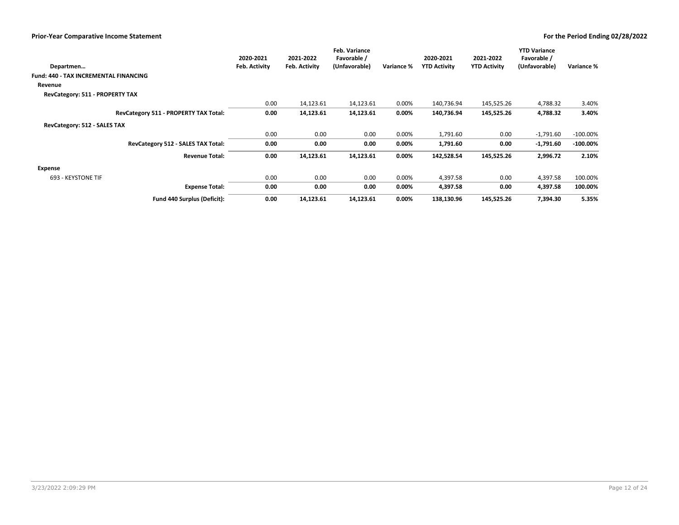|                                              | 2020-2021     | 2021-2022     | <b>Feb. Variance</b><br>Favorable / |            | 2020-2021           | 2021-2022           | <b>YTD Variance</b><br>Favorable / |             |
|----------------------------------------------|---------------|---------------|-------------------------------------|------------|---------------------|---------------------|------------------------------------|-------------|
| Departmen                                    | Feb. Activity | Feb. Activity | (Unfavorable)                       | Variance % | <b>YTD Activity</b> | <b>YTD Activity</b> | (Unfavorable)                      | Variance %  |
| <b>Fund: 440 - TAX INCREMENTAL FINANCING</b> |               |               |                                     |            |                     |                     |                                    |             |
| Revenue                                      |               |               |                                     |            |                     |                     |                                    |             |
| RevCategory: 511 - PROPERTY TAX              |               |               |                                     |            |                     |                     |                                    |             |
|                                              | 0.00          | 14,123.61     | 14,123.61                           | 0.00%      | 140,736.94          | 145,525.26          | 4,788.32                           | 3.40%       |
| RevCategory 511 - PROPERTY TAX Total:        | 0.00          | 14,123.61     | 14,123.61                           | 0.00%      | 140,736.94          | 145,525.26          | 4,788.32                           | 3.40%       |
| RevCategory: 512 - SALES TAX                 |               |               |                                     |            |                     |                     |                                    |             |
|                                              | 0.00          | 0.00          | 0.00                                | 0.00%      | 1,791.60            | 0.00                | $-1,791.60$                        | $-100.00\%$ |
| RevCategory 512 - SALES TAX Total:           | 0.00          | 0.00          | 0.00                                | 0.00%      | 1,791.60            | 0.00                | $-1,791.60$                        | $-100.00\%$ |
| <b>Revenue Total:</b>                        | 0.00          | 14,123.61     | 14,123.61                           | $0.00\%$   | 142,528.54          | 145,525.26          | 2,996.72                           | 2.10%       |
| Expense                                      |               |               |                                     |            |                     |                     |                                    |             |
| 693 - KEYSTONE TIF                           | 0.00          | 0.00          | 0.00                                | 0.00%      | 4,397.58            | 0.00                | 4,397.58                           | 100.00%     |
| <b>Expense Total:</b>                        | 0.00          | 0.00          | 0.00                                | $0.00\%$   | 4,397.58            | 0.00                | 4,397.58                           | 100.00%     |
| Fund 440 Surplus (Deficit):                  | 0.00          | 14,123.61     | 14,123.61                           | 0.00%      | 138,130.96          | 145,525.26          | 7,394.30                           | 5.35%       |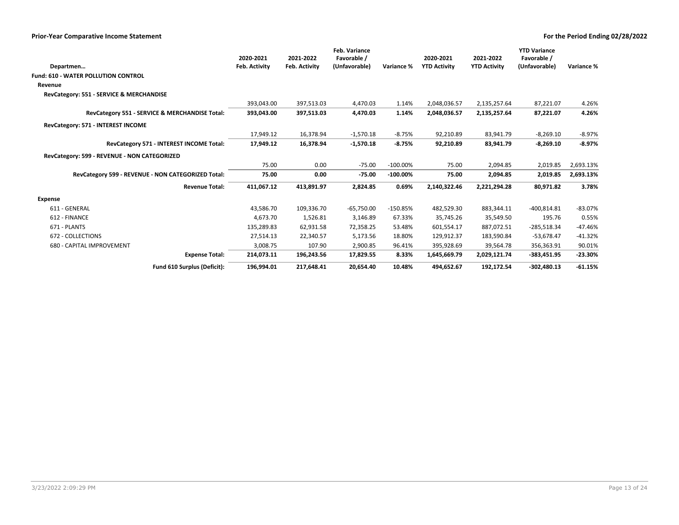|                                                    | 2020-2021     | 2021-2022     | <b>Feb. Variance</b><br>Favorable / |             | 2020-2021           | 2021-2022           | <b>YTD Variance</b><br>Favorable / |            |
|----------------------------------------------------|---------------|---------------|-------------------------------------|-------------|---------------------|---------------------|------------------------------------|------------|
| Departmen                                          | Feb. Activity | Feb. Activity | (Unfavorable)                       | Variance %  | <b>YTD Activity</b> | <b>YTD Activity</b> | (Unfavorable)                      | Variance % |
| <b>Fund: 610 - WATER POLLUTION CONTROL</b>         |               |               |                                     |             |                     |                     |                                    |            |
| Revenue                                            |               |               |                                     |             |                     |                     |                                    |            |
| RevCategory: 551 - SERVICE & MERCHANDISE           |               |               |                                     |             |                     |                     |                                    |            |
|                                                    | 393.043.00    | 397,513.03    | 4,470.03                            | 1.14%       | 2,048,036.57        | 2,135,257.64        | 87,221.07                          | 4.26%      |
| RevCategory 551 - SERVICE & MERCHANDISE Total:     | 393,043.00    | 397,513.03    | 4,470.03                            | 1.14%       | 2,048,036.57        | 2,135,257.64        | 87,221.07                          | 4.26%      |
| RevCategory: 571 - INTEREST INCOME                 |               |               |                                     |             |                     |                     |                                    |            |
|                                                    | 17,949.12     | 16,378.94     | $-1,570.18$                         | $-8.75%$    | 92,210.89           | 83,941.79           | $-8,269.10$                        | $-8.97%$   |
| RevCategory 571 - INTEREST INCOME Total:           | 17,949.12     | 16,378.94     | $-1,570.18$                         | $-8.75%$    | 92,210.89           | 83,941.79           | $-8,269.10$                        | $-8.97%$   |
| RevCategory: 599 - REVENUE - NON CATEGORIZED       |               |               |                                     |             |                     |                     |                                    |            |
|                                                    | 75.00         | 0.00          | $-75.00$                            | $-100.00\%$ | 75.00               | 2,094.85            | 2,019.85                           | 2,693.13%  |
| RevCategory 599 - REVENUE - NON CATEGORIZED Total: | 75.00         | 0.00          | $-75.00$                            | $-100.00\%$ | 75.00               | 2,094.85            | 2,019.85                           | 2,693.13%  |
| <b>Revenue Total:</b>                              | 411,067.12    | 413,891.97    | 2,824.85                            | 0.69%       | 2,140,322.46        | 2,221,294.28        | 80,971.82                          | 3.78%      |
| <b>Expense</b>                                     |               |               |                                     |             |                     |                     |                                    |            |
| 611 - GENERAL                                      | 43,586.70     | 109,336.70    | $-65,750.00$                        | $-150.85%$  | 482,529.30          | 883,344.11          | $-400,814.81$                      | $-83.07%$  |
| 612 - FINANCE                                      | 4,673.70      | 1,526.81      | 3,146.89                            | 67.33%      | 35,745.26           | 35,549.50           | 195.76                             | 0.55%      |
| 671 - PLANTS                                       | 135,289.83    | 62,931.58     | 72,358.25                           | 53.48%      | 601,554.17          | 887,072.51          | $-285,518.34$                      | $-47.46%$  |
| 672 - COLLECTIONS                                  | 27,514.13     | 22,340.57     | 5,173.56                            | 18.80%      | 129,912.37          | 183,590.84          | $-53,678.47$                       | $-41.32%$  |
| 680 - CAPITAL IMPROVEMENT                          | 3,008.75      | 107.90        | 2,900.85                            | 96.41%      | 395,928.69          | 39,564.78           | 356,363.91                         | 90.01%     |
| <b>Expense Total:</b>                              | 214,073.11    | 196,243.56    | 17,829.55                           | 8.33%       | 1,645,669.79        | 2,029,121.74        | $-383,451.95$                      | $-23.30%$  |
| Fund 610 Surplus (Deficit):                        | 196.994.01    | 217,648.41    | 20,654.40                           | 10.48%      | 494,652.67          | 192,172.54          | $-302,480.13$                      | $-61.15%$  |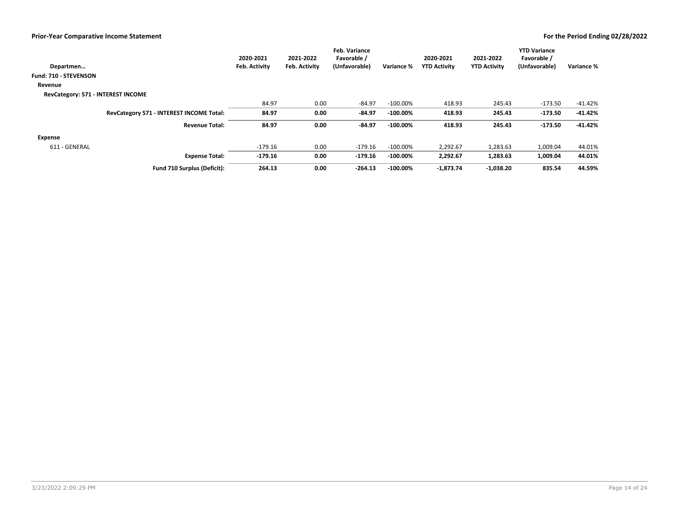| Departmen                          |                                          | 2020-2021<br>Feb. Activity | 2021-2022<br>Feb. Activity | <b>Feb. Variance</b><br>Favorable /<br>(Unfavorable) | Variance %  | 2020-2021<br><b>YTD Activity</b> | 2021-2022<br><b>YTD Activity</b> | <b>YTD Variance</b><br>Favorable /<br>(Unfavorable) | Variance % |
|------------------------------------|------------------------------------------|----------------------------|----------------------------|------------------------------------------------------|-------------|----------------------------------|----------------------------------|-----------------------------------------------------|------------|
| Fund: 710 - STEVENSON              |                                          |                            |                            |                                                      |             |                                  |                                  |                                                     |            |
| Revenue                            |                                          |                            |                            |                                                      |             |                                  |                                  |                                                     |            |
| RevCategory: 571 - INTEREST INCOME |                                          |                            |                            |                                                      |             |                                  |                                  |                                                     |            |
|                                    |                                          | 84.97                      | 0.00                       | $-84.97$                                             | $-100.00\%$ | 418.93                           | 245.43                           | $-173.50$                                           | $-41.42%$  |
|                                    | RevCategory 571 - INTEREST INCOME Total: | 84.97                      | 0.00                       | $-84.97$                                             | $-100.00\%$ | 418.93                           | 245.43                           | $-173.50$                                           | -41.42%    |
|                                    | <b>Revenue Total:</b>                    | 84.97                      | 0.00                       | $-84.97$                                             | $-100.00\%$ | 418.93                           | 245.43                           | $-173.50$                                           | $-41.42%$  |
| Expense                            |                                          |                            |                            |                                                      |             |                                  |                                  |                                                     |            |
| 611 - GENERAL                      |                                          | -179.16                    | 0.00                       | $-179.16$                                            | $-100.00\%$ | 2,292.67                         | 1,283.63                         | 1,009.04                                            | 44.01%     |
|                                    | <b>Expense Total:</b>                    | $-179.16$                  | 0.00                       | -179.16                                              | $-100.00\%$ | 2,292.67                         | 1,283.63                         | 1,009.04                                            | 44.01%     |
|                                    | Fund 710 Surplus (Deficit):              | 264.13                     | 0.00                       | $-264.13$                                            | $-100.00\%$ | $-1,873.74$                      | $-1,038.20$                      | 835.54                                              | 44.59%     |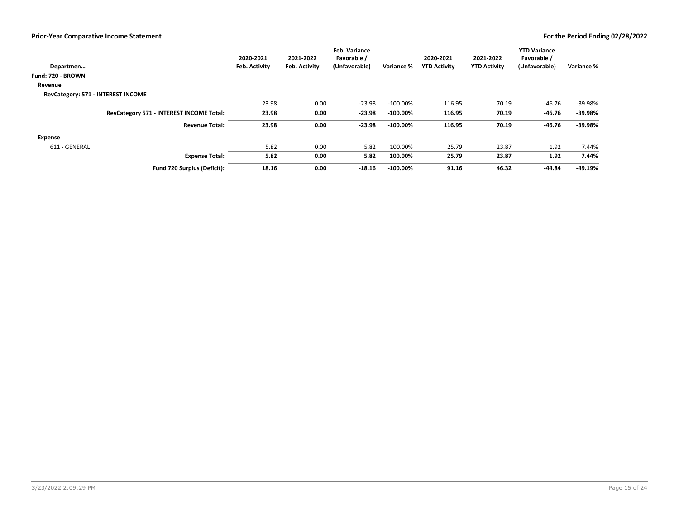|                                    |                                          | 2020-2021     | 2021-2022            | <b>Feb. Variance</b><br>Favorable / |             | 2020-2021           | 2021-2022           | <b>YTD Variance</b><br>Favorable / |            |
|------------------------------------|------------------------------------------|---------------|----------------------|-------------------------------------|-------------|---------------------|---------------------|------------------------------------|------------|
| Departmen                          |                                          | Feb. Activity | <b>Feb. Activity</b> | (Unfavorable)                       | Variance %  | <b>YTD Activity</b> | <b>YTD Activity</b> | (Unfavorable)                      | Variance % |
| Fund: 720 - BROWN                  |                                          |               |                      |                                     |             |                     |                     |                                    |            |
| Revenue                            |                                          |               |                      |                                     |             |                     |                     |                                    |            |
| RevCategory: 571 - INTEREST INCOME |                                          |               |                      |                                     |             |                     |                     |                                    |            |
|                                    |                                          | 23.98         | 0.00                 | $-23.98$                            | $-100.00\%$ | 116.95              | 70.19               | $-46.76$                           | -39.98%    |
|                                    | RevCategory 571 - INTEREST INCOME Total: | 23.98         | 0.00                 | $-23.98$                            | $-100.00\%$ | 116.95              | 70.19               | $-46.76$                           | -39.98%    |
|                                    | <b>Revenue Total:</b>                    | 23.98         | 0.00                 | $-23.98$                            | $-100.00\%$ | 116.95              | 70.19               | $-46.76$                           | -39.98%    |
| <b>Expense</b>                     |                                          |               |                      |                                     |             |                     |                     |                                    |            |
| 611 - GENERAL                      |                                          | 5.82          | 0.00                 | 5.82                                | 100.00%     | 25.79               | 23.87               | 1.92                               | 7.44%      |
|                                    | <b>Expense Total:</b>                    | 5.82          | 0.00                 | 5.82                                | 100.00%     | 25.79               | 23.87               | 1.92                               | 7.44%      |
|                                    | Fund 720 Surplus (Deficit):              | 18.16         | 0.00                 | $-18.16$                            | $-100.00\%$ | 91.16               | 46.32               | $-44.84$                           | -49.19%    |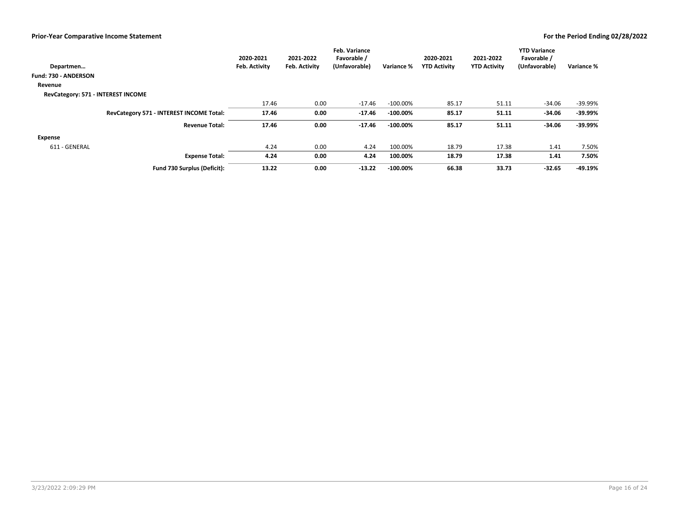|                                    |                                          | 2020-2021     | 2021-2022            | <b>Feb. Variance</b><br>Favorable / |             | 2020-2021           | 2021-2022           | <b>YTD Variance</b><br>Favorable / |            |
|------------------------------------|------------------------------------------|---------------|----------------------|-------------------------------------|-------------|---------------------|---------------------|------------------------------------|------------|
| Departmen                          |                                          | Feb. Activity | <b>Feb. Activity</b> | (Unfavorable)                       | Variance %  | <b>YTD Activity</b> | <b>YTD Activity</b> | (Unfavorable)                      | Variance % |
| Fund: 730 - ANDERSON               |                                          |               |                      |                                     |             |                     |                     |                                    |            |
| Revenue                            |                                          |               |                      |                                     |             |                     |                     |                                    |            |
| RevCategory: 571 - INTEREST INCOME |                                          |               |                      |                                     |             |                     |                     |                                    |            |
|                                    |                                          | 17.46         | 0.00                 | $-17.46$                            | $-100.00\%$ | 85.17               | 51.11               | $-34.06$                           | -39.99%    |
|                                    | RevCategory 571 - INTEREST INCOME Total: | 17.46         | 0.00                 | $-17.46$                            | $-100.00\%$ | 85.17               | 51.11               | $-34.06$                           | -39.99%    |
|                                    | <b>Revenue Total:</b>                    | 17.46         | 0.00                 | $-17.46$                            | $-100.00\%$ | 85.17               | 51.11               | $-34.06$                           | -39.99%    |
| <b>Expense</b>                     |                                          |               |                      |                                     |             |                     |                     |                                    |            |
| 611 - GENERAL                      |                                          | 4.24          | 0.00                 | 4.24                                | 100.00%     | 18.79               | 17.38               | 1.41                               | 7.50%      |
|                                    | <b>Expense Total:</b>                    | 4.24          | 0.00                 | 4.24                                | 100.00%     | 18.79               | 17.38               | 1.41                               | 7.50%      |
|                                    | Fund 730 Surplus (Deficit):              | 13.22         | 0.00                 | $-13.22$                            | $-100.00\%$ | 66.38               | 33.73               | $-32.65$                           | -49.19%    |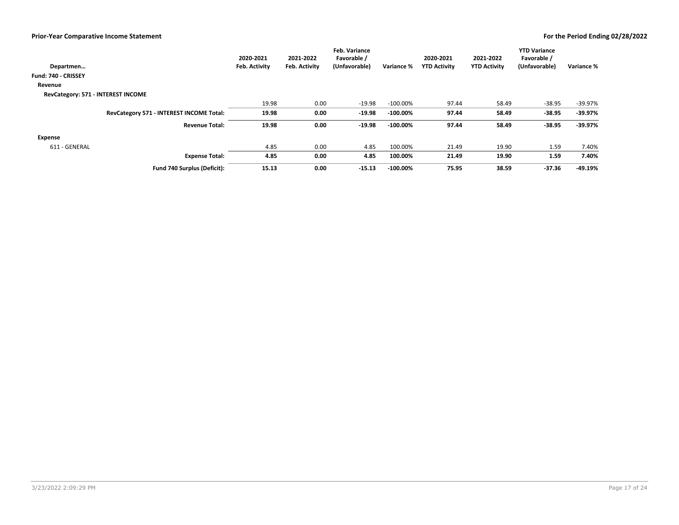|                                          | 2020-2021<br>Feb. Activity | 2021-2022<br><b>Feb. Activity</b> | <b>Feb. Variance</b><br>Favorable /<br>(Unfavorable) | Variance %  | 2020-2021<br><b>YTD Activity</b> | 2021-2022<br><b>YTD Activity</b> | <b>YTD Variance</b><br>Favorable /<br>(Unfavorable) | Variance % |
|------------------------------------------|----------------------------|-----------------------------------|------------------------------------------------------|-------------|----------------------------------|----------------------------------|-----------------------------------------------------|------------|
| Departmen                                |                            |                                   |                                                      |             |                                  |                                  |                                                     |            |
| Fund: 740 - CRISSEY                      |                            |                                   |                                                      |             |                                  |                                  |                                                     |            |
| Revenue                                  |                            |                                   |                                                      |             |                                  |                                  |                                                     |            |
| RevCategory: 571 - INTEREST INCOME       |                            |                                   |                                                      |             |                                  |                                  |                                                     |            |
|                                          | 19.98                      | 0.00                              | $-19.98$                                             | $-100.00\%$ | 97.44                            | 58.49                            | $-38.95$                                            | -39.97%    |
| RevCategory 571 - INTEREST INCOME Total: | 19.98                      | 0.00                              | $-19.98$                                             | $-100.00\%$ | 97.44                            | 58.49                            | $-38.95$                                            | $-39.97%$  |
| <b>Revenue Total:</b>                    | 19.98                      | 0.00                              | $-19.98$                                             | $-100.00\%$ | 97.44                            | 58.49                            | $-38.95$                                            | -39.97%    |
| <b>Expense</b>                           |                            |                                   |                                                      |             |                                  |                                  |                                                     |            |
| 611 - GENERAL                            | 4.85                       | 0.00                              | 4.85                                                 | 100.00%     | 21.49                            | 19.90                            | 1.59                                                | 7.40%      |
| <b>Expense Total:</b>                    | 4.85                       | 0.00                              | 4.85                                                 | 100.00%     | 21.49                            | 19.90                            | 1.59                                                | 7.40%      |
| Fund 740 Surplus (Deficit):              | 15.13                      | 0.00                              | $-15.13$                                             | $-100.00\%$ | 75.95                            | 38.59                            | $-37.36$                                            | -49.19%    |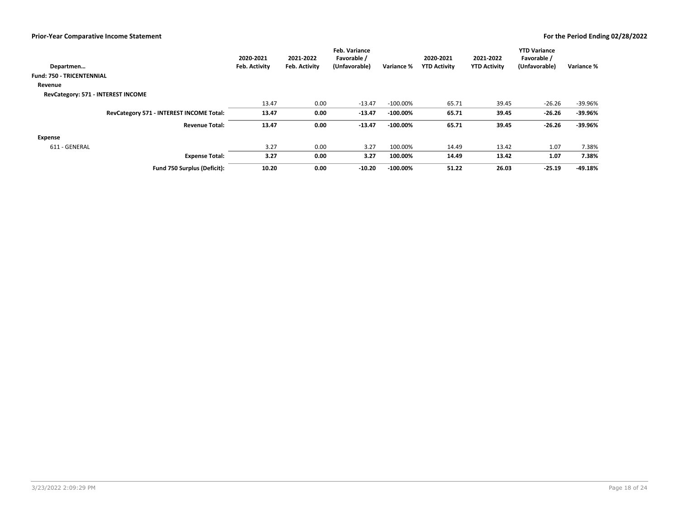|                                          | 2020-2021     | 2021-2022            | <b>Feb. Variance</b><br>Favorable / |             | 2020-2021           | 2021-2022           | <b>YTD Variance</b><br>Favorable / |            |
|------------------------------------------|---------------|----------------------|-------------------------------------|-------------|---------------------|---------------------|------------------------------------|------------|
| Departmen                                | Feb. Activity | <b>Feb. Activity</b> | (Unfavorable)                       | Variance %  | <b>YTD Activity</b> | <b>YTD Activity</b> | (Unfavorable)                      | Variance % |
| <b>Fund: 750 - TRICENTENNIAL</b>         |               |                      |                                     |             |                     |                     |                                    |            |
| Revenue                                  |               |                      |                                     |             |                     |                     |                                    |            |
| RevCategory: 571 - INTEREST INCOME       |               |                      |                                     |             |                     |                     |                                    |            |
|                                          | 13.47         | 0.00                 | $-13.47$                            | $-100.00\%$ | 65.71               | 39.45               | $-26.26$                           | -39.96%    |
| RevCategory 571 - INTEREST INCOME Total: | 13.47         | 0.00                 | $-13.47$                            | $-100.00\%$ | 65.71               | 39.45               | $-26.26$                           | $-39.96%$  |
| <b>Revenue Total:</b>                    | 13.47         | 0.00                 | $-13.47$                            | $-100.00\%$ | 65.71               | 39.45               | $-26.26$                           | -39.96%    |
| <b>Expense</b>                           |               |                      |                                     |             |                     |                     |                                    |            |
| 611 - GENERAL                            | 3.27          | 0.00                 | 3.27                                | 100.00%     | 14.49               | 13.42               | 1.07                               | 7.38%      |
| <b>Expense Total:</b>                    | 3.27          | 0.00                 | 3.27                                | 100.00%     | 14.49               | 13.42               | 1.07                               | 7.38%      |
| Fund 750 Surplus (Deficit):              | 10.20         | 0.00                 | $-10.20$                            | $-100.00\%$ | 51.22               | 26.03               | $-25.19$                           | -49.18%    |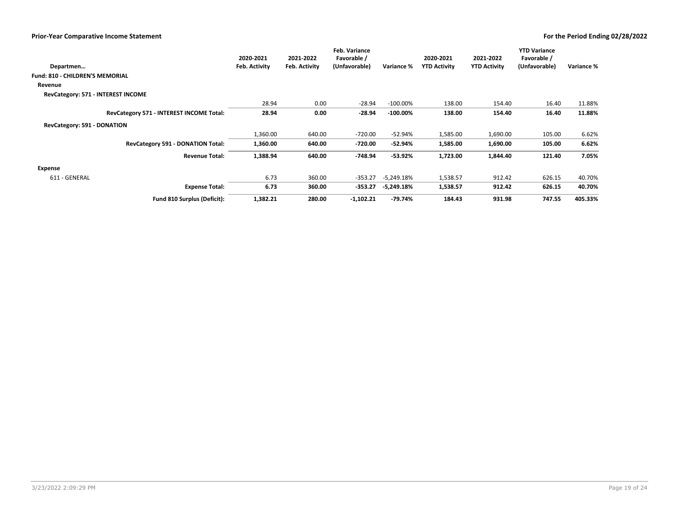|                                          | 2020-2021     | 2021-2022            | <b>Feb. Variance</b><br>Favorable / |              | 2020-2021           | 2021-2022           | <b>YTD Variance</b><br>Favorable / |            |
|------------------------------------------|---------------|----------------------|-------------------------------------|--------------|---------------------|---------------------|------------------------------------|------------|
| Departmen                                | Feb. Activity | <b>Feb. Activity</b> | (Unfavorable)                       | Variance %   | <b>YTD Activity</b> | <b>YTD Activity</b> | (Unfavorable)                      | Variance % |
| <b>Fund: 810 - CHILDREN'S MEMORIAL</b>   |               |                      |                                     |              |                     |                     |                                    |            |
| Revenue                                  |               |                      |                                     |              |                     |                     |                                    |            |
| RevCategory: 571 - INTEREST INCOME       |               |                      |                                     |              |                     |                     |                                    |            |
|                                          | 28.94         | 0.00                 | $-28.94$                            | $-100.00\%$  | 138.00              | 154.40              | 16.40                              | 11.88%     |
| RevCategory 571 - INTEREST INCOME Total: | 28.94         | 0.00                 | $-28.94$                            | $-100.00\%$  | 138.00              | 154.40              | 16.40                              | 11.88%     |
| RevCategory: 591 - DONATION              |               |                      |                                     |              |                     |                     |                                    |            |
|                                          | 1,360.00      | 640.00               | $-720.00$                           | $-52.94%$    | 1,585.00            | 1,690.00            | 105.00                             | 6.62%      |
| RevCategory 591 - DONATION Total:        | 1,360.00      | 640.00               | -720.00                             | -52.94%      | 1,585.00            | 1,690.00            | 105.00                             | 6.62%      |
| <b>Revenue Total:</b>                    | 1,388.94      | 640.00               | $-748.94$                           | $-53.92%$    | 1,723.00            | 1,844.40            | 121.40                             | 7.05%      |
| Expense                                  |               |                      |                                     |              |                     |                     |                                    |            |
| 611 - GENERAL                            | 6.73          | 360.00               | $-353.27$                           | -5,249.18%   | 1,538.57            | 912.42              | 626.15                             | 40.70%     |
| <b>Expense Total:</b>                    | 6.73          | 360.00               | -353.27                             | $-5,249.18%$ | 1,538.57            | 912.42              | 626.15                             | 40.70%     |
| Fund 810 Surplus (Deficit):              | 1,382.21      | 280.00               | $-1,102.21$                         | -79.74%      | 184.43              | 931.98              | 747.55                             | 405.33%    |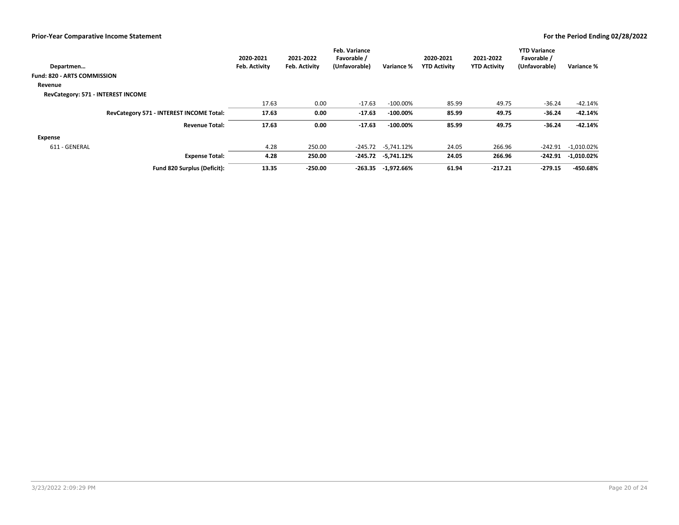|                                          | 2020-2021     | 2021-2022            | <b>Feb. Variance</b><br>Favorable / |                         | 2020-2021           | 2021-2022           | <b>YTD Variance</b><br>Favorable / |               |
|------------------------------------------|---------------|----------------------|-------------------------------------|-------------------------|---------------------|---------------------|------------------------------------|---------------|
| Departmen                                | Feb. Activity | <b>Feb. Activity</b> | (Unfavorable)                       | Variance %              | <b>YTD Activity</b> | <b>YTD Activity</b> | (Unfavorable)                      | Variance %    |
| <b>Fund: 820 - ARTS COMMISSION</b>       |               |                      |                                     |                         |                     |                     |                                    |               |
| Revenue                                  |               |                      |                                     |                         |                     |                     |                                    |               |
| RevCategory: 571 - INTEREST INCOME       |               |                      |                                     |                         |                     |                     |                                    |               |
|                                          | 17.63         | 0.00                 | $-17.63$                            | $-100.00\%$             | 85.99               | 49.75               | $-36.24$                           | $-42.14%$     |
| RevCategory 571 - INTEREST INCOME Total: | 17.63         | 0.00                 | $-17.63$                            | $-100.00\%$             | 85.99               | 49.75               | $-36.24$                           | -42.14%       |
| <b>Revenue Total:</b>                    | 17.63         | 0.00                 | $-17.63$                            | $-100.00\%$             | 85.99               | 49.75               | $-36.24$                           | $-42.14%$     |
| Expense                                  |               |                      |                                     |                         |                     |                     |                                    |               |
| 611 - GENERAL                            | 4.28          | 250.00               | -245.72                             | -5.741.12%              | 24.05               | 266.96              | $-242.91$                          | -1,010.02%    |
| <b>Expense Total:</b>                    | 4.28          | 250.00               |                                     | $-245.72$ $-5,741.12\%$ | 24.05               | 266.96              | -242.91                            | $-1,010.02\%$ |
| Fund 820 Surplus (Deficit):              | 13.35         | $-250.00$            |                                     | -263.35 -1,972.66%      | 61.94               | $-217.21$           | $-279.15$                          | -450.68%      |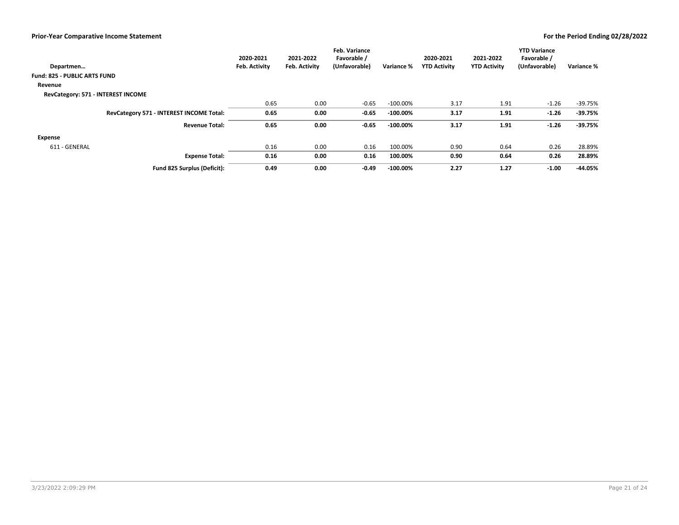|                                          | 2020-2021     | 2021-2022     | <b>Feb. Variance</b><br>Favorable / |             | 2020-2021           | 2021-2022           | <b>YTD Variance</b><br>Favorable / |            |
|------------------------------------------|---------------|---------------|-------------------------------------|-------------|---------------------|---------------------|------------------------------------|------------|
| Departmen                                | Feb. Activity | Feb. Activity | (Unfavorable)                       | Variance %  | <b>YTD Activity</b> | <b>YTD Activity</b> | (Unfavorable)                      | Variance % |
| <b>Fund: 825 - PUBLIC ARTS FUND</b>      |               |               |                                     |             |                     |                     |                                    |            |
| Revenue                                  |               |               |                                     |             |                     |                     |                                    |            |
| RevCategory: 571 - INTEREST INCOME       |               |               |                                     |             |                     |                     |                                    |            |
|                                          | 0.65          | 0.00          | $-0.65$                             | $-100.00\%$ | 3.17                | 1.91                | $-1.26$                            | $-39.75%$  |
| RevCategory 571 - INTEREST INCOME Total: | 0.65          | 0.00          | $-0.65$                             | $-100.00\%$ | 3.17                | 1.91                | $-1.26$                            | $-39.75%$  |
| <b>Revenue Total:</b>                    | 0.65          | 0.00          | $-0.65$                             | $-100.00\%$ | 3.17                | 1.91                | $-1.26$                            | $-39.75%$  |
| Expense                                  |               |               |                                     |             |                     |                     |                                    |            |
| 611 - GENERAL                            | 0.16          | 0.00          | 0.16                                | 100.00%     | 0.90                | 0.64                | 0.26                               | 28.89%     |
| <b>Expense Total:</b>                    | 0.16          | 0.00          | 0.16                                | 100.00%     | 0.90                | 0.64                | 0.26                               | 28.89%     |
| Fund 825 Surplus (Deficit):              | 0.49          | 0.00          | $-0.49$                             | $-100.00\%$ | 2.27                | 1.27                | $-1.00$                            | -44.05%    |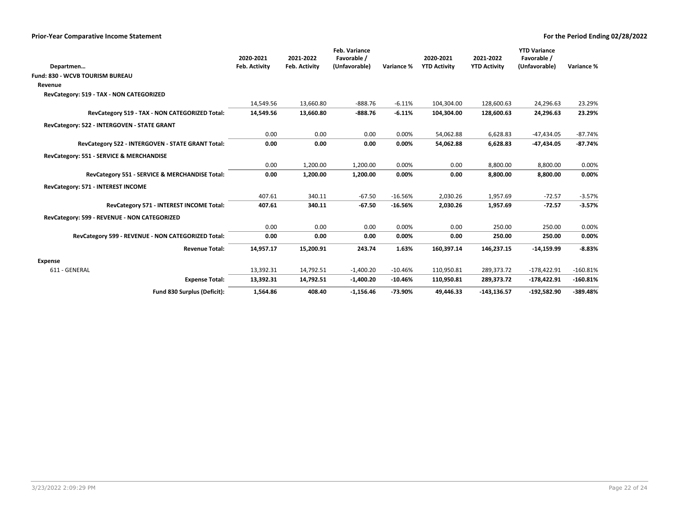|                                                    | 2020-2021            | 2021-2022            | Feb. Variance<br>Favorable / |            | 2020-2021           | 2021-2022           | <b>YTD Variance</b><br>Favorable / |            |
|----------------------------------------------------|----------------------|----------------------|------------------------------|------------|---------------------|---------------------|------------------------------------|------------|
| Departmen                                          | <b>Feb. Activity</b> | <b>Feb. Activity</b> | (Unfavorable)                | Variance % | <b>YTD Activity</b> | <b>YTD Activity</b> | (Unfavorable)                      | Variance % |
| Fund: 830 - WCVB TOURISM BUREAU                    |                      |                      |                              |            |                     |                     |                                    |            |
| Revenue                                            |                      |                      |                              |            |                     |                     |                                    |            |
| RevCategory: 519 - TAX - NON CATEGORIZED           |                      |                      |                              |            |                     |                     |                                    |            |
|                                                    | 14,549.56            | 13,660.80            | $-888.76$                    | $-6.11%$   | 104,304.00          | 128,600.63          | 24,296.63                          | 23.29%     |
| RevCategory 519 - TAX - NON CATEGORIZED Total:     | 14,549.56            | 13,660.80            | -888.76                      | $-6.11%$   | 104,304.00          | 128,600.63          | 24,296.63                          | 23.29%     |
| RevCategory: 522 - INTERGOVEN - STATE GRANT        |                      |                      |                              |            |                     |                     |                                    |            |
|                                                    | 0.00                 | 0.00                 | 0.00                         | 0.00%      | 54,062.88           | 6,628.83            | $-47,434.05$                       | $-87.74%$  |
| RevCategory 522 - INTERGOVEN - STATE GRANT Total:  | 0.00                 | 0.00                 | 0.00                         | 0.00%      | 54,062.88           | 6,628.83            | -47,434.05                         | $-87.74%$  |
| RevCategory: 551 - SERVICE & MERCHANDISE           |                      |                      |                              |            |                     |                     |                                    |            |
|                                                    | 0.00                 | 1,200.00             | 1,200.00                     | 0.00%      | 0.00                | 8,800.00            | 8,800.00                           | 0.00%      |
| RevCategory 551 - SERVICE & MERCHANDISE Total:     | 0.00                 | 1,200.00             | 1,200.00                     | 0.00%      | 0.00                | 8,800.00            | 8,800.00                           | 0.00%      |
| RevCategory: 571 - INTEREST INCOME                 |                      |                      |                              |            |                     |                     |                                    |            |
|                                                    | 407.61               | 340.11               | $-67.50$                     | $-16.56%$  | 2,030.26            | 1,957.69            | $-72.57$                           | $-3.57%$   |
| RevCategory 571 - INTEREST INCOME Total:           | 407.61               | 340.11               | $-67.50$                     | $-16.56%$  | 2,030.26            | 1,957.69            | $-72.57$                           | $-3.57%$   |
| RevCategory: 599 - REVENUE - NON CATEGORIZED       |                      |                      |                              |            |                     |                     |                                    |            |
|                                                    | 0.00                 | 0.00                 | 0.00                         | 0.00%      | 0.00                | 250.00              | 250.00                             | 0.00%      |
| RevCategory 599 - REVENUE - NON CATEGORIZED Total: | 0.00                 | 0.00                 | 0.00                         | 0.00%      | 0.00                | 250.00              | 250.00                             | 0.00%      |
| <b>Revenue Total:</b>                              | 14,957.17            | 15,200.91            | 243.74                       | 1.63%      | 160,397.14          | 146,237.15          | $-14,159.99$                       | $-8.83%$   |
| <b>Expense</b>                                     |                      |                      |                              |            |                     |                     |                                    |            |
| 611 - GENERAL                                      | 13,392.31            | 14,792.51            | $-1,400.20$                  | $-10.46%$  | 110,950.81          | 289,373.72          | $-178,422.91$                      | $-160.81%$ |
| <b>Expense Total:</b>                              | 13,392.31            | 14,792.51            | $-1,400.20$                  | $-10.46%$  | 110,950.81          | 289,373.72          | $-178,422.91$                      | $-160.81%$ |
| Fund 830 Surplus (Deficit):                        | 1,564.86             | 408.40               | $-1,156.46$                  | $-73.90%$  | 49,446.33           | $-143, 136.57$      | $-192,582.90$                      | $-389.48%$ |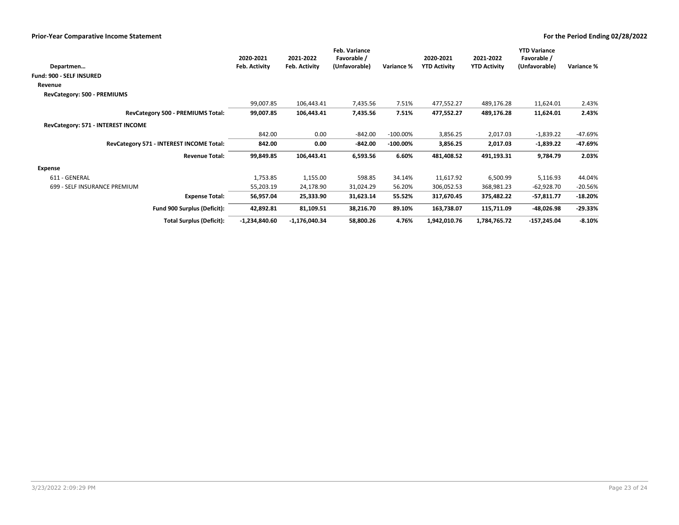| Departmen                                | 2020-2021<br>Feb. Activity | 2021-2022<br>Feb. Activity | Feb. Variance<br>Favorable /<br>(Unfavorable) | Variance %  | 2020-2021<br><b>YTD Activity</b> | 2021-2022<br><b>YTD Activity</b> | <b>YTD Variance</b><br>Favorable /<br>(Unfavorable) | Variance % |
|------------------------------------------|----------------------------|----------------------------|-----------------------------------------------|-------------|----------------------------------|----------------------------------|-----------------------------------------------------|------------|
| Fund: 900 - SELF INSURED                 |                            |                            |                                               |             |                                  |                                  |                                                     |            |
| Revenue                                  |                            |                            |                                               |             |                                  |                                  |                                                     |            |
| RevCategory: 500 - PREMIUMS              |                            |                            |                                               |             |                                  |                                  |                                                     |            |
|                                          | 99,007.85                  | 106,443.41                 | 7,435.56                                      | 7.51%       | 477,552.27                       | 489,176.28                       | 11,624.01                                           | 2.43%      |
| RevCategory 500 - PREMIUMS Total:        | 99,007.85                  | 106,443.41                 | 7,435.56                                      | 7.51%       | 477,552.27                       | 489,176.28                       | 11,624.01                                           | 2.43%      |
| RevCategory: 571 - INTEREST INCOME       |                            |                            |                                               |             |                                  |                                  |                                                     |            |
|                                          | 842.00                     | 0.00                       | $-842.00$                                     | $-100.00\%$ | 3,856.25                         | 2,017.03                         | $-1,839.22$                                         | -47.69%    |
| RevCategory 571 - INTEREST INCOME Total: | 842.00                     | 0.00                       | $-842.00$                                     | $-100.00\%$ | 3,856.25                         | 2,017.03                         | $-1,839.22$                                         | -47.69%    |
| <b>Revenue Total:</b>                    | 99,849.85                  | 106,443.41                 | 6,593.56                                      | 6.60%       | 481,408.52                       | 491,193.31                       | 9,784.79                                            | 2.03%      |
| Expense                                  |                            |                            |                                               |             |                                  |                                  |                                                     |            |
| 611 - GENERAL                            | 1,753.85                   | 1,155.00                   | 598.85                                        | 34.14%      | 11,617.92                        | 6,500.99                         | 5,116.93                                            | 44.04%     |
| 699 - SELF INSURANCE PREMIUM             | 55,203.19                  | 24,178.90                  | 31,024.29                                     | 56.20%      | 306,052.53                       | 368,981.23                       | $-62,928.70$                                        | $-20.56%$  |
| <b>Expense Total:</b>                    | 56,957.04                  | 25,333.90                  | 31,623.14                                     | 55.52%      | 317,670.45                       | 375,482.22                       | $-57,811.77$                                        | $-18.20%$  |
| Fund 900 Surplus (Deficit):              | 42,892.81                  | 81,109.51                  | 38,216.70                                     | 89.10%      | 163,738.07                       | 115,711.09                       | -48,026.98                                          | -29.33%    |
| <b>Total Surplus (Deficit):</b>          | $-1,234,840.60$            | $-1,176,040.34$            | 58,800.26                                     | 4.76%       | 1,942,010.76                     | 1,784,765.72                     | $-157,245.04$                                       | $-8.10%$   |